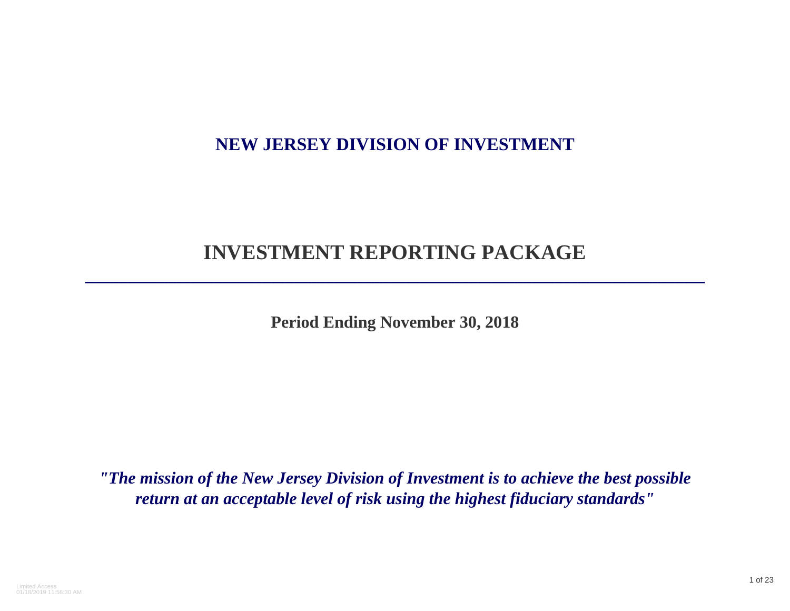## **NEW JERSEY DIVISION OF INVESTMENT**

# **INVESTMENT REPORTING PACKAGE**

**\_\_\_\_\_\_\_\_\_\_\_\_\_\_\_\_\_\_\_\_\_\_\_\_\_\_\_\_\_\_\_\_\_\_\_\_\_\_\_\_\_\_\_\_\_\_\_\_\_\_\_\_\_\_\_\_\_\_\_\_\_\_\_\_\_\_\_\_\_**

**Period Ending November 30, 2018**

*"The mission of the New Jersey Division of Investment is to achieve the best possible return at an acceptable level of risk using the highest fiduciary standards"*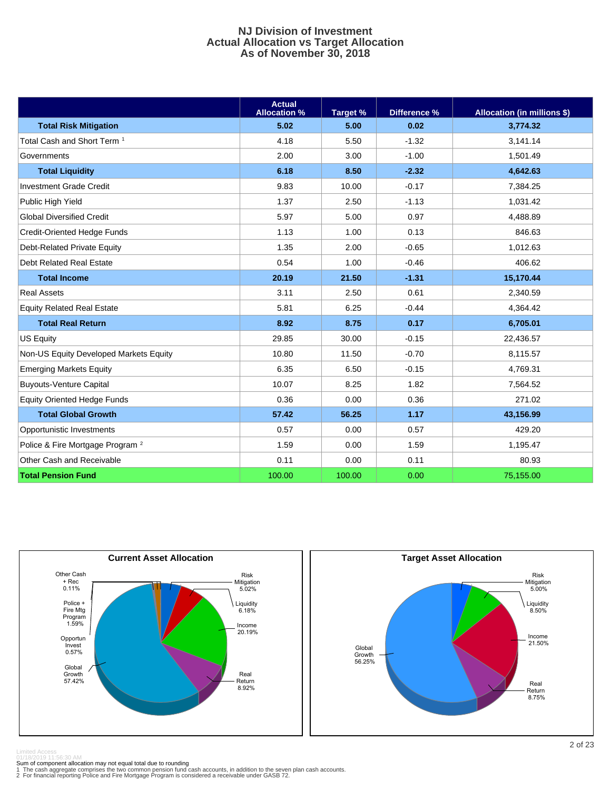#### **NJ Division of Investment Actual Allocation vs Target Allocation As of November 30, 2018**

|                                             | <b>Actual</b><br><b>Allocation %</b> | Target % | Difference % | <b>Allocation (in millions \$)</b> |
|---------------------------------------------|--------------------------------------|----------|--------------|------------------------------------|
| <b>Total Risk Mitigation</b>                | 5.02                                 | 5.00     | 0.02         | 3,774.32                           |
| Total Cash and Short Term <sup>1</sup>      | 4.18                                 | 5.50     | $-1.32$      | 3.141.14                           |
| Governments                                 | 2.00                                 | 3.00     | $-1.00$      | 1,501.49                           |
| <b>Total Liquidity</b>                      | 6.18                                 | 8.50     | $-2.32$      | 4,642.63                           |
| <b>Investment Grade Credit</b>              | 9.83                                 | 10.00    | $-0.17$      | 7,384.25                           |
| Public High Yield                           | 1.37                                 | 2.50     | $-1.13$      | 1,031.42                           |
| <b>Global Diversified Credit</b>            | 5.97                                 | 5.00     | 0.97         | 4,488.89                           |
| Credit-Oriented Hedge Funds                 | 1.13                                 | 1.00     | 0.13         | 846.63                             |
| Debt-Related Private Equity                 | 1.35                                 | 2.00     | $-0.65$      | 1,012.63                           |
| Debt Related Real Estate                    | 0.54                                 | 1.00     | $-0.46$      | 406.62                             |
| <b>Total Income</b>                         | 20.19                                | 21.50    | $-1.31$      | 15,170.44                          |
| <b>Real Assets</b>                          | 3.11                                 | 2.50     | 0.61         | 2,340.59                           |
| <b>Equity Related Real Estate</b>           | 5.81                                 | 6.25     | $-0.44$      | 4,364.42                           |
| <b>Total Real Return</b>                    | 8.92                                 | 8.75     | 0.17         | 6,705.01                           |
| <b>US Equity</b>                            | 29.85                                | 30.00    | $-0.15$      | 22,436.57                          |
| Non-US Equity Developed Markets Equity      | 10.80                                | 11.50    | $-0.70$      | 8,115.57                           |
| <b>Emerging Markets Equity</b>              | 6.35                                 | 6.50     | $-0.15$      | 4,769.31                           |
| <b>Buyouts-Venture Capital</b>              | 10.07                                | 8.25     | 1.82         | 7,564.52                           |
| <b>Equity Oriented Hedge Funds</b>          | 0.36                                 | 0.00     | 0.36         | 271.02                             |
| <b>Total Global Growth</b>                  | 57.42                                | 56.25    | 1.17         | 43,156.99                          |
| Opportunistic Investments                   | 0.57                                 | 0.00     | 0.57         | 429.20                             |
| Police & Fire Mortgage Program <sup>2</sup> | 1.59                                 | 0.00     | 1.59         | 1,195.47                           |
| Other Cash and Receivable                   | 0.11                                 | 0.00     | 0.11         | 80.93                              |
| <b>Total Pension Fund</b>                   | 100.00                               | 100.00   | 0.00         | 75,155.00                          |





01/18/2019 11:56:30 AM<br>Sum of component allocation may not equal total due to rounding<br>1 The cash aggregate comprises the two common pension fund cash accounts, in addition to the seven plan cash accounts.<br>2 For financial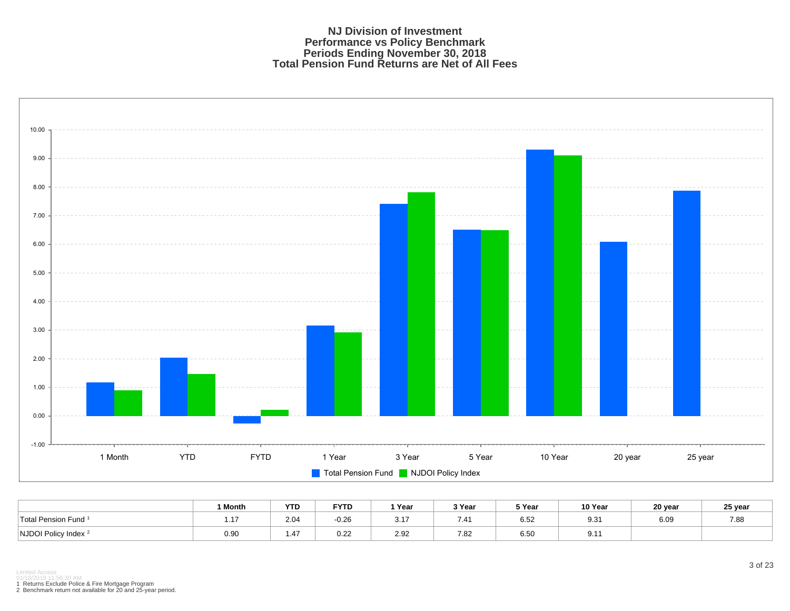#### **NJ Division of Investment Performance vs Policy Benchmark Periods Ending November 30, 2018 Total Pension Fund Returns are Net of All Fees**



|                                              | <sup>1</sup> Month | <b>YTD</b> | <b>FYTD</b> | `Year       | २ Year | 5 Year       | 10 Year | 20 year | 25 year |
|----------------------------------------------|--------------------|------------|-------------|-------------|--------|--------------|---------|---------|---------|
| <sup>1</sup> Total Pension Fund <sup>1</sup> | 1.17               | 2.04       | $-0.26$     | $21^-$<br>. | 7.41   | 0.50<br>6.52 | 9.31    | 6.09    | 7.88    |
| NJDOI Policy Index <sup>2</sup>              | 0.90               | 1.47       | 0.22        | 2.92        | 7.82   | 6.50         | 9.1     |         |         |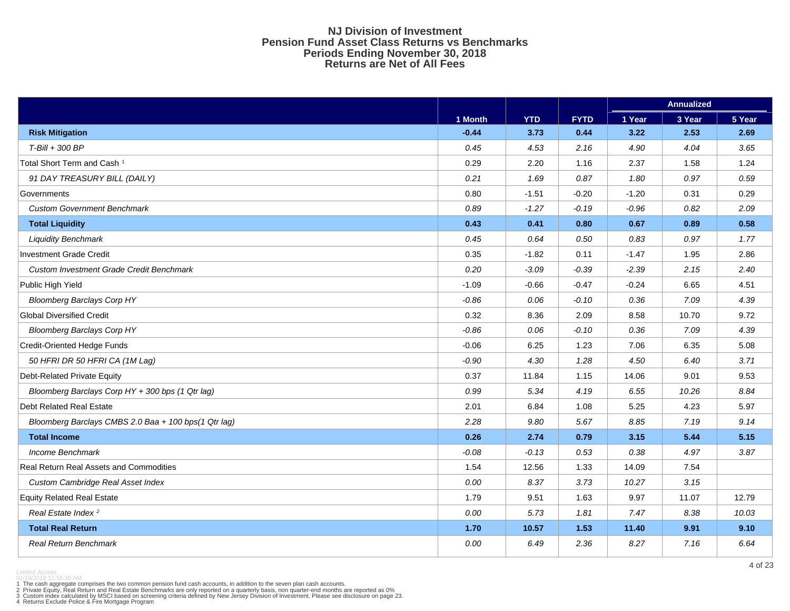#### **NJ Division of Investment Pension Fund Asset Class Returns vs Benchmarks Periods Ending November 30, 2018 Returns are Net of All Fees**

|                                                      |         |            |             |         | <b>Annualized</b> |        |
|------------------------------------------------------|---------|------------|-------------|---------|-------------------|--------|
|                                                      | 1 Month | <b>YTD</b> | <b>FYTD</b> | 1 Year  | 3 Year            | 5 Year |
| <b>Risk Mitigation</b>                               | $-0.44$ | 3.73       | 0.44        | 3.22    | 2.53              | 2.69   |
| T-Bill + 300 BP                                      | 0.45    | 4.53       | 2.16        | 4.90    | 4.04              | 3.65   |
| Total Short Term and Cash <sup>1</sup>               | 0.29    | 2.20       | 1.16        | 2.37    | 1.58              | 1.24   |
| 91 DAY TREASURY BILL (DAILY)                         | 0.21    | 1.69       | 0.87        | 1.80    | 0.97              | 0.59   |
| Governments                                          | 0.80    | $-1.51$    | $-0.20$     | $-1.20$ | 0.31              | 0.29   |
| <b>Custom Government Benchmark</b>                   | 0.89    | $-1.27$    | $-0.19$     | $-0.96$ | 0.82              | 2.09   |
| <b>Total Liquidity</b>                               | 0.43    | 0.41       | 0.80        | 0.67    | 0.89              | 0.58   |
| <b>Liquidity Benchmark</b>                           | 0.45    | 0.64       | $0.50\,$    | 0.83    | 0.97              | 1.77   |
| Investment Grade Credit                              | 0.35    | $-1.82$    | 0.11        | $-1.47$ | 1.95              | 2.86   |
| Custom Investment Grade Credit Benchmark             | 0.20    | $-3.09$    | $-0.39$     | $-2.39$ | 2.15              | 2.40   |
| Public High Yield                                    | $-1.09$ | $-0.66$    | $-0.47$     | $-0.24$ | 6.65              | 4.51   |
| <b>Bloomberg Barclays Corp HY</b>                    | $-0.86$ | 0.06       | $-0.10$     | 0.36    | 7.09              | 4.39   |
| <b>Global Diversified Credit</b>                     | 0.32    | 8.36       | 2.09        | 8.58    | 10.70             | 9.72   |
| <b>Bloomberg Barclays Corp HY</b>                    | $-0.86$ | 0.06       | $-0.10$     | 0.36    | 7.09              | 4.39   |
| <b>Credit-Oriented Hedge Funds</b>                   | $-0.06$ | 6.25       | 1.23        | 7.06    | 6.35              | 5.08   |
| 50 HFRI DR 50 HFRI CA (1M Lag)                       | $-0.90$ | 4.30       | 1.28        | 4.50    | 6.40              | 3.71   |
| Debt-Related Private Equity                          | 0.37    | 11.84      | 1.15        | 14.06   | 9.01              | 9.53   |
| Bloomberg Barclays Corp HY + 300 bps (1 Qtr lag)     | 0.99    | 5.34       | 4.19        | 6.55    | 10.26             | 8.84   |
| <b>Debt Related Real Estate</b>                      | 2.01    | 6.84       | 1.08        | 5.25    | 4.23              | 5.97   |
| Bloomberg Barclays CMBS 2.0 Baa + 100 bps(1 Qtr lag) | 2.28    | 9.80       | 5.67        | 8.85    | 7.19              | 9.14   |
| <b>Total Income</b>                                  | 0.26    | 2.74       | 0.79        | 3.15    | 5.44              | 5.15   |
| Income Benchmark                                     | $-0.08$ | $-0.13$    | 0.53        | 0.38    | 4.97              | 3.87   |
| Real Return Real Assets and Commodities              | 1.54    | 12.56      | 1.33        | 14.09   | 7.54              |        |
| Custom Cambridge Real Asset Index                    | 0.00    | 8.37       | 3.73        | 10.27   | 3.15              |        |
| <b>Equity Related Real Estate</b>                    | 1.79    | 9.51       | 1.63        | 9.97    | 11.07             | 12.79  |
| Real Estate Index <sup>2</sup>                       | 0.00    | 5.73       | 1.81        | 7.47    | 8.38              | 10.03  |
| <b>Total Real Return</b>                             | 1.70    | 10.57      | 1.53        | 11.40   | 9.91              | 9.10   |
| <b>Real Return Benchmark</b>                         | 0.00    | 6.49       | 2.36        | 8.27    | 7.16              | 6.64   |

Limited Access 01/18/2019 11:56:30 AM

1 The cash aggregate comprises the two common pension fund cash accounts, in addition to the seven plan cash accounts.<br>2 Private Equity, Real Return and Real Estate Benchmarks are only reported on a quarterly basis, non qu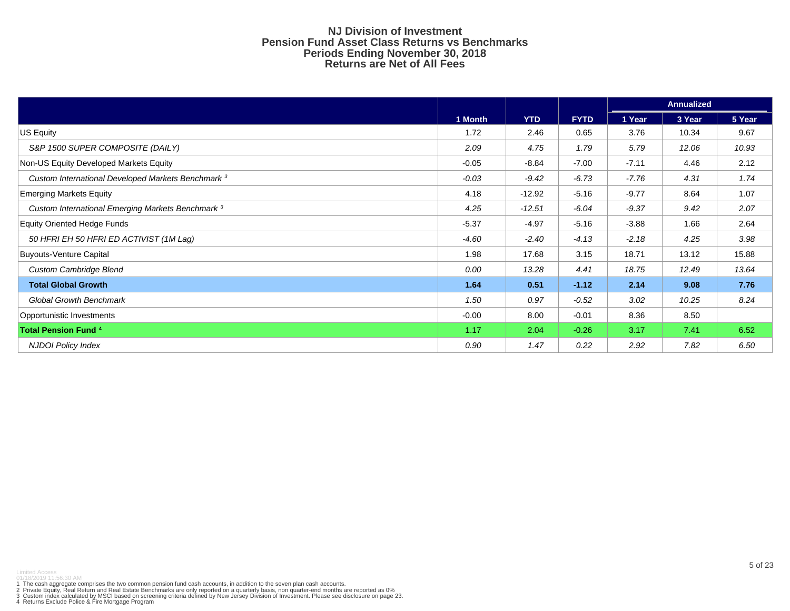#### **NJ Division of Investment Pension Fund Asset Class Returns vs Benchmarks Periods Ending November 30, 2018 Returns are Net of All Fees**

|                                                              |         |            |             |         | <b>Annualized</b> |        |
|--------------------------------------------------------------|---------|------------|-------------|---------|-------------------|--------|
|                                                              | 1 Month | <b>YTD</b> | <b>FYTD</b> | 1 Year  | 3 Year            | 5 Year |
| US Equity                                                    | 1.72    | 2.46       | 0.65        | 3.76    | 10.34             | 9.67   |
| S&P 1500 SUPER COMPOSITE (DAILY)                             | 2.09    | 4.75       | 1.79        | 5.79    | 12.06             | 10.93  |
| Non-US Equity Developed Markets Equity                       | $-0.05$ | $-8.84$    | $-7.00$     | $-7.11$ | 4.46              | 2.12   |
| Custom International Developed Markets Benchmark 3           | $-0.03$ | $-9.42$    | $-6.73$     | $-7.76$ | 4.31              | 1.74   |
| <b>Emerging Markets Equity</b>                               | 4.18    | $-12.92$   | $-5.16$     | $-9.77$ | 8.64              | 1.07   |
| Custom International Emerging Markets Benchmark <sup>3</sup> | 4.25    | $-12.51$   | $-6.04$     | $-9.37$ | 9.42              | 2.07   |
| <b>Equity Oriented Hedge Funds</b>                           | $-5.37$ | $-4.97$    | $-5.16$     | $-3.88$ | 1.66              | 2.64   |
| 50 HFRI EH 50 HFRI ED ACTIVIST (1M Lag)                      | $-4.60$ | $-2.40$    | $-4.13$     | $-2.18$ | 4.25              | 3.98   |
| <b>Buyouts-Venture Capital</b>                               | 1.98    | 17.68      | 3.15        | 18.71   | 13.12             | 15.88  |
| <b>Custom Cambridge Blend</b>                                | 0.00    | 13.28      | 4.41        | 18.75   | 12.49             | 13.64  |
| <b>Total Global Growth</b>                                   | 1.64    | 0.51       | $-1.12$     | 2.14    | 9.08              | 7.76   |
| <b>Global Growth Benchmark</b>                               | 1.50    | 0.97       | $-0.52$     | 3.02    | 10.25             | 8.24   |
| Opportunistic Investments                                    | $-0.00$ | 8.00       | $-0.01$     | 8.36    | 8.50              |        |
| <b>Total Pension Fund 4</b>                                  | 1.17    | 2.04       | $-0.26$     | 3.17    | 7.41              | 6.52   |
| <b>NJDOI Policy Index</b>                                    | 0.90    | 1.47       | 0.22        | 2.92    | 7.82              | 6.50   |

1 The cash aggregate comprises the two common pension fund cash accounts, in addition to the seven plan cash accounts.<br>2 Private Equity, Real Return and Real Estate Benchmarks are only reported on a quarterly basis, non qu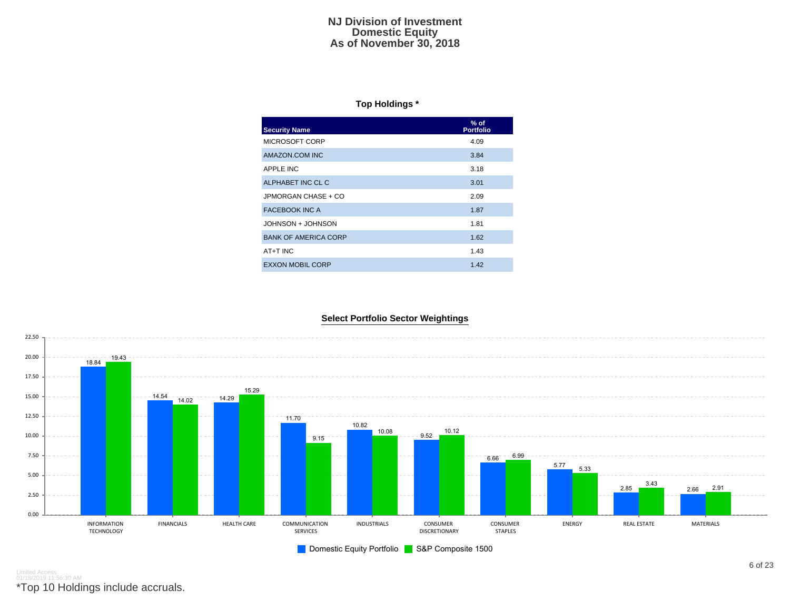#### **NJ Division of Investment Domestic Equity As of November 30, 2018**

### **Top Holdings \***

| <b>Security Name</b>        | $%$ of<br><b>Portfolio</b> |
|-----------------------------|----------------------------|
| MICROSOFT CORP              | 4.09                       |
| AMAZON.COM INC              | 3.84                       |
| APPLE INC                   | 3.18                       |
| ALPHABET INC CL C           | 3.01                       |
| JPMORGAN CHASE + CO         | 2.09                       |
| <b>FACEBOOK INC A</b>       | 1.87                       |
| JOHNSON + JOHNSON           | 1.81                       |
| <b>BANK OF AMERICA CORP</b> | 1.62                       |
| AT+T INC                    | 1.43                       |
| <b>EXXON MOBIL CORP</b>     | 1.42                       |

#### **Select Portfolio Sector Weightings**



Limited Access 01/18/2019 11:56:30 AM

\*Top 10 Holdings include accruals.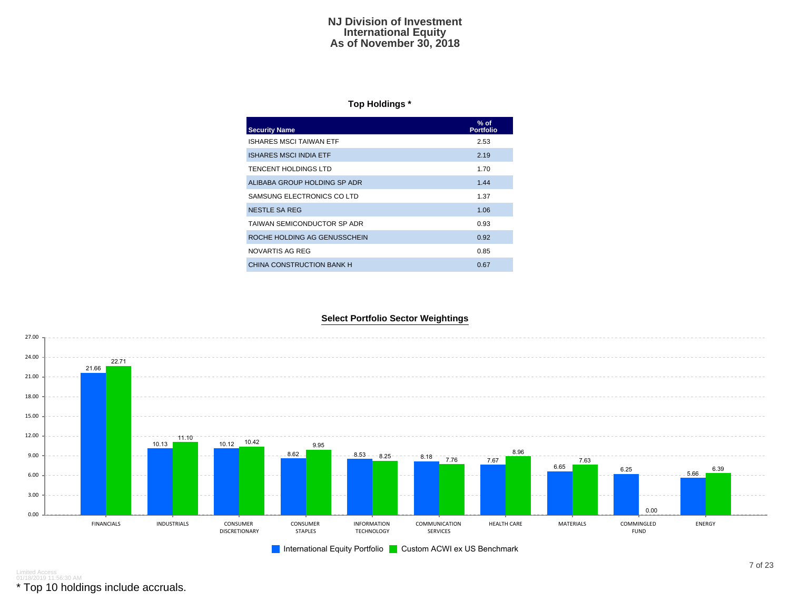#### **NJ Division of Investment International Equity As of November 30, 2018**

#### **Top Holdings \***

| <b>Security Name</b>           | $%$ of<br><b>Portfolio</b> |
|--------------------------------|----------------------------|
| <b>ISHARES MSCI TAIWAN ETF</b> | 2.53                       |
| <b>ISHARES MSCI INDIA ETF</b>  | 2.19                       |
| <b>TENCENT HOLDINGS LTD</b>    | 1.70                       |
| ALIBABA GROUP HOLDING SP ADR   | 1.44                       |
| SAMSUNG ELECTRONICS CO LTD     | 1.37                       |
| NESTLE SA REG                  | 1.06                       |
| TAIWAN SEMICONDUCTOR SP ADR    | 0.93                       |
| ROCHE HOLDING AG GENUSSCHEIN   | 0.92                       |
| NOVARTIS AG REG                | 0.85                       |
| CHINA CONSTRUCTION BANK H      | 0.67                       |





Limited Access 01/18/2019 11:56:30 AM

\* Top 10 holdings include accruals.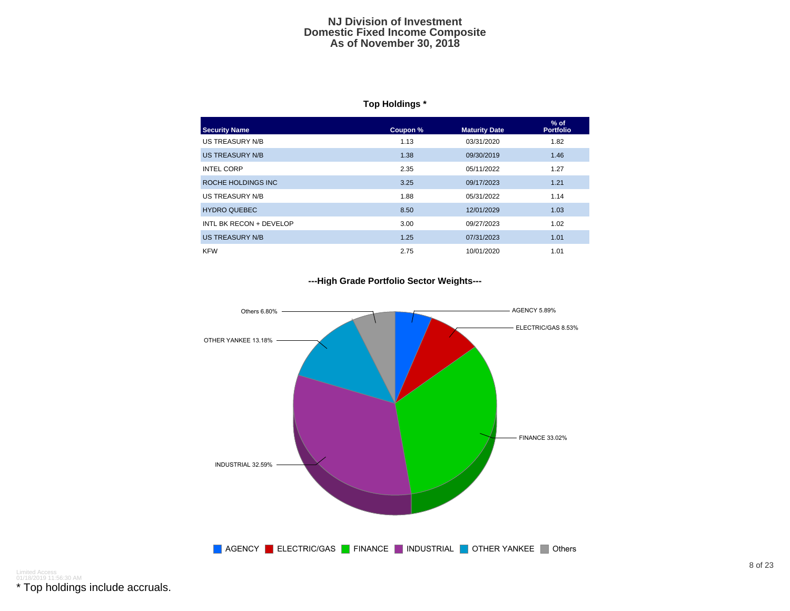#### **NJ Division of Investment Domestic Fixed Income Composite As of November 30, 2018**

### **Top Holdings \***

| <b>Security Name</b>    | Coupon % | <b>Maturity Date</b> | $%$ of<br><b>Portfolio</b> |
|-------------------------|----------|----------------------|----------------------------|
| US TREASURY N/B         | 1.13     | 03/31/2020           | 1.82                       |
| US TREASURY N/B         | 1.38     | 09/30/2019           | 1.46                       |
| <b>INTEL CORP</b>       | 2.35     | 05/11/2022           | 1.27                       |
| ROCHE HOLDINGS INC      | 3.25     | 09/17/2023           | 1.21                       |
| US TREASURY N/B         | 1.88     | 05/31/2022           | 1.14                       |
| <b>HYDRO QUEBEC</b>     | 8.50     | 12/01/2029           | 1.03                       |
| INTL BK RECON + DEVELOP | 3.00     | 09/27/2023           | 1.02                       |
| <b>US TREASURY N/B</b>  | 1.25     | 07/31/2023           | 1.01                       |
| <b>KFW</b>              | 2.75     | 10/01/2020           | 1.01                       |

#### **---High Grade Portfolio Sector Weights---**



Limited Access 01/18/2019 11:56:30 AM

\* Top holdings include accruals.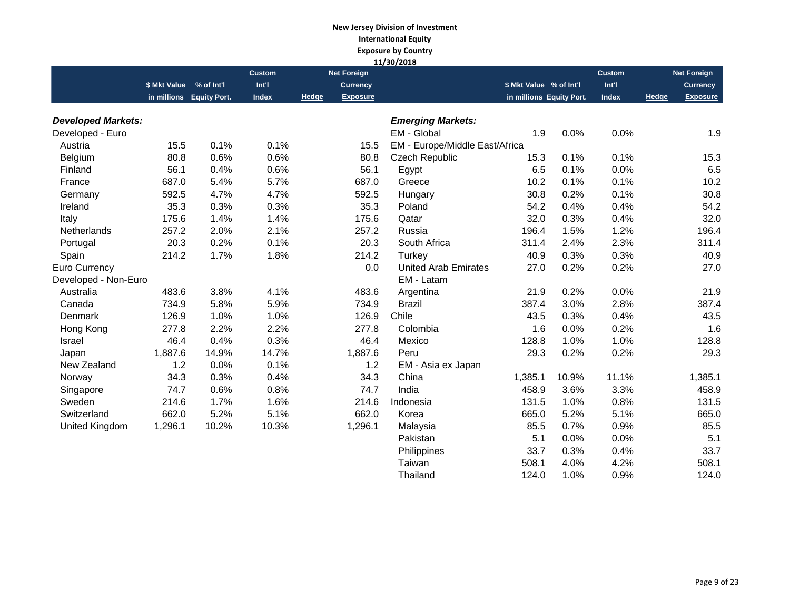## **New Jersey Division of Investment International Equity Exposure by Country**

|                           |                         |                          |               |       |                    | 11/30/2018                     |                         |       |               |       |                    |
|---------------------------|-------------------------|--------------------------|---------------|-------|--------------------|--------------------------------|-------------------------|-------|---------------|-------|--------------------|
|                           |                         |                          | <b>Custom</b> |       | <b>Net Foreign</b> |                                |                         |       | <b>Custom</b> |       | <b>Net Foreign</b> |
|                           | \$ Mkt Value % of Int'l |                          | Int'l         |       | <b>Currency</b>    |                                | \$ Mkt Value % of Int'l |       | Int'l         |       | <b>Currency</b>    |
|                           |                         | in millions Equity Port. | Index         | Hedge | <b>Exposure</b>    |                                | in millions Equity Port |       | <b>Index</b>  | Hedge | <b>Exposure</b>    |
| <b>Developed Markets:</b> |                         |                          |               |       |                    | <b>Emerging Markets:</b>       |                         |       |               |       |                    |
| Developed - Euro          |                         |                          |               |       |                    | EM - Global                    | 1.9                     | 0.0%  | 0.0%          |       | 1.9                |
| Austria                   | 15.5                    | 0.1%                     | 0.1%          |       | 15.5               | EM - Europe/Middle East/Africa |                         |       |               |       |                    |
| Belgium                   | 80.8                    | 0.6%                     | 0.6%          |       | 80.8               | <b>Czech Republic</b>          | 15.3                    | 0.1%  | 0.1%          |       | 15.3               |
| Finland                   | 56.1                    | 0.4%                     | 0.6%          |       | 56.1               | Egypt                          | 6.5                     | 0.1%  | 0.0%          |       | 6.5                |
| France                    | 687.0                   | 5.4%                     | 5.7%          |       | 687.0              | Greece                         | 10.2                    | 0.1%  | 0.1%          |       | 10.2               |
| Germany                   | 592.5                   | 4.7%                     | 4.7%          |       | 592.5              | Hungary                        | 30.8                    | 0.2%  | 0.1%          |       | 30.8               |
| Ireland                   | 35.3                    | 0.3%                     | 0.3%          |       | 35.3               | Poland                         | 54.2                    | 0.4%  | 0.4%          |       | 54.2               |
| Italy                     | 175.6                   | 1.4%                     | 1.4%          |       | 175.6              | Qatar                          | 32.0                    | 0.3%  | 0.4%          |       | 32.0               |
| Netherlands               | 257.2                   | 2.0%                     | 2.1%          |       | 257.2              | Russia                         | 196.4                   | 1.5%  | 1.2%          |       | 196.4              |
| Portugal                  | 20.3                    | 0.2%                     | 0.1%          |       | 20.3               | South Africa                   | 311.4                   | 2.4%  | 2.3%          |       | 311.4              |
| Spain                     | 214.2                   | 1.7%                     | 1.8%          |       | 214.2              | Turkey                         | 40.9                    | 0.3%  | 0.3%          |       | 40.9               |
| Euro Currency             |                         |                          |               |       | 0.0                | <b>United Arab Emirates</b>    | 27.0                    | 0.2%  | 0.2%          |       | 27.0               |
| Developed - Non-Euro      |                         |                          |               |       |                    | EM - Latam                     |                         |       |               |       |                    |
| Australia                 | 483.6                   | 3.8%                     | 4.1%          |       | 483.6              | Argentina                      | 21.9                    | 0.2%  | 0.0%          |       | 21.9               |
| Canada                    | 734.9                   | 5.8%                     | 5.9%          |       | 734.9              | <b>Brazil</b>                  | 387.4                   | 3.0%  | 2.8%          |       | 387.4              |
| <b>Denmark</b>            | 126.9                   | 1.0%                     | 1.0%          |       | 126.9              | Chile                          | 43.5                    | 0.3%  | 0.4%          |       | 43.5               |
| Hong Kong                 | 277.8                   | 2.2%                     | 2.2%          |       | 277.8              | Colombia                       | 1.6                     | 0.0%  | 0.2%          |       | 1.6                |
| <b>Israel</b>             | 46.4                    | 0.4%                     | 0.3%          |       | 46.4               | Mexico                         | 128.8                   | 1.0%  | 1.0%          |       | 128.8              |
| Japan                     | 1,887.6                 | 14.9%                    | 14.7%         |       | 1,887.6            | Peru                           | 29.3                    | 0.2%  | 0.2%          |       | 29.3               |
| New Zealand               | 1.2                     | 0.0%                     | 0.1%          |       | 1.2                | EM - Asia ex Japan             |                         |       |               |       |                    |
| Norway                    | 34.3                    | 0.3%                     | 0.4%          |       | 34.3               | China                          | 1,385.1                 | 10.9% | 11.1%         |       | 1,385.1            |
| Singapore                 | 74.7                    | 0.6%                     | 0.8%          |       | 74.7               | India                          | 458.9                   | 3.6%  | 3.3%          |       | 458.9              |
| Sweden                    | 214.6                   | 1.7%                     | 1.6%          |       | 214.6              | Indonesia                      | 131.5                   | 1.0%  | 0.8%          |       | 131.5              |
| Switzerland               | 662.0                   | 5.2%                     | 5.1%          |       | 662.0              | Korea                          | 665.0                   | 5.2%  | 5.1%          |       | 665.0              |
| United Kingdom            | 1,296.1                 | 10.2%                    | 10.3%         |       | 1,296.1            | Malaysia                       | 85.5                    | 0.7%  | 0.9%          |       | 85.5               |
|                           |                         |                          |               |       |                    | Pakistan                       | 5.1                     | 0.0%  | 0.0%          |       | 5.1                |
|                           |                         |                          |               |       |                    | Philippines                    | 33.7                    | 0.3%  | 0.4%          |       | 33.7               |
|                           |                         |                          |               |       |                    | Taiwan                         | 508.1                   | 4.0%  | 4.2%          |       | 508.1              |
|                           |                         |                          |               |       |                    | Thailand                       | 124.0                   | 1.0%  | 0.9%          |       | 124.0              |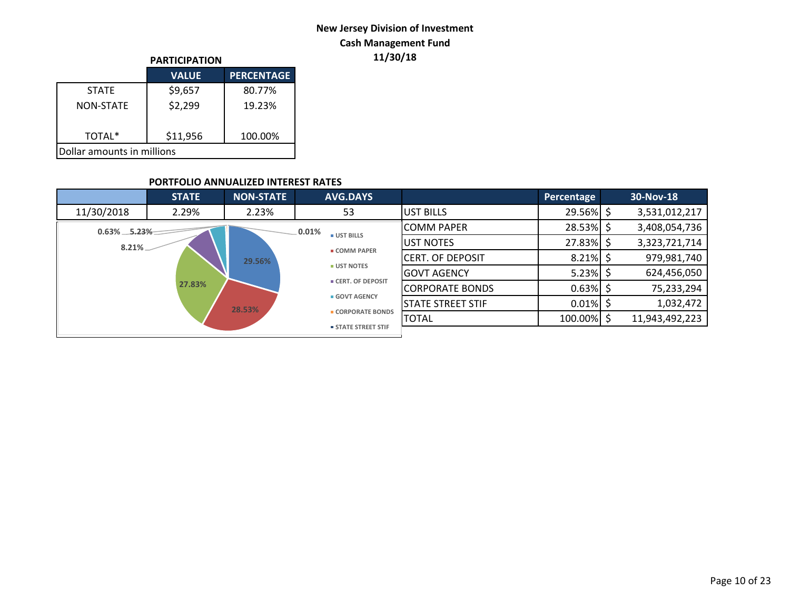## **New Jersey Division of Investment Cash Management Fund**

|                            | <b>PARTICIPATION</b> |                   |  |  |  |  |
|----------------------------|----------------------|-------------------|--|--|--|--|
|                            | <b>VALUE</b>         | <b>PERCENTAGE</b> |  |  |  |  |
| <b>STATF</b>               | \$9,657              | 80.77%            |  |  |  |  |
| <b>NON-STATE</b>           | \$2,299              | 19.23%            |  |  |  |  |
| TOTAL*                     | \$11,956             | 100.00%           |  |  |  |  |
| Dollar amounts in millions |                      |                   |  |  |  |  |

## **PARTICIPATION 11/30/18**

### **PORTFOLIO ANNUALIZED INTEREST RATES**

|                   | <b>STATE</b> | <b>NON-STATE</b> | <b>AVG.DAYS</b>            |                          | Percentage   |   | 30-Nov-18      |
|-------------------|--------------|------------------|----------------------------|--------------------------|--------------|---|----------------|
| 11/30/2018        | 2.29%        | 2.23%            | 53                         | UST BILLS                | $29.56\%$ \$ |   | 3,531,012,217  |
| $0.63\% - 5.23\%$ |              |                  | .0.01%<br><b>UST BILLS</b> | <b>COMM PAPER</b>        | 28.53%       | Ś | 3,408,054,736  |
| $8.21\%$          |              |                  |                            | UST NOTES                | 27.83%       | Ś | 3,323,721,714  |
|                   |              | 29.56%           | <b>E COMM PAPER</b>        | <b>CERT. OF DEPOSIT</b>  | 8.21%        | Ś | 979,981,740    |
|                   |              |                  | <b>UST NOTES</b>           | GOVT AGENCY              | 5.23%        | S | 624,456,050    |
|                   | 27.83%       |                  | <b>CERT. OF DEPOSIT</b>    | <b>CORPORATE BONDS</b>   | 0.63%        |   | 75,233,294     |
|                   |              | 28.53%           | <b>GOVT AGENCY</b>         | <b>STATE STREET STIF</b> | $0.01\%$     |   | 1,032,472      |
|                   |              |                  | <b>CORPORATE BONDS</b>     | <b>TOTAL</b>             | 100.00% \$   |   | 11,943,492,223 |
|                   |              |                  | <b>STATE STREET STIF</b>   |                          |              |   |                |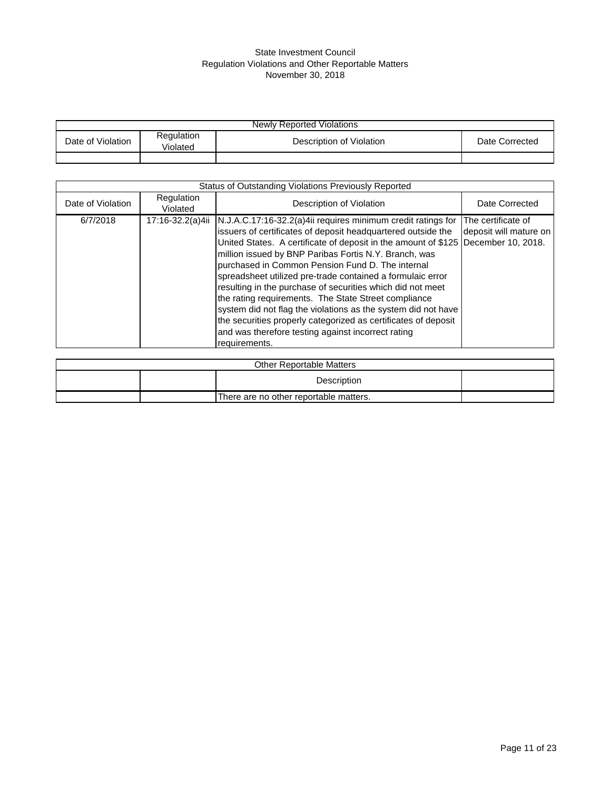#### State Investment Council Regulation Violations and Other Reportable Matters November 30, 2018

| <b>Newly Reported Violations</b> |                        |                          |                |  |  |  |  |
|----------------------------------|------------------------|--------------------------|----------------|--|--|--|--|
| Date of Violation                | Regulation<br>Violated | Description of Violation | Date Corrected |  |  |  |  |
|                                  |                        |                          |                |  |  |  |  |

| Status of Outstanding Violations Previously Reported |                        |                                                                                                                                                                                                                                                                                                                                                                                                                                                                                                                                                                                                                                                                                                                                                 |                                              |  |  |  |  |
|------------------------------------------------------|------------------------|-------------------------------------------------------------------------------------------------------------------------------------------------------------------------------------------------------------------------------------------------------------------------------------------------------------------------------------------------------------------------------------------------------------------------------------------------------------------------------------------------------------------------------------------------------------------------------------------------------------------------------------------------------------------------------------------------------------------------------------------------|----------------------------------------------|--|--|--|--|
| Date of Violation                                    | Regulation<br>Violated | Description of Violation                                                                                                                                                                                                                                                                                                                                                                                                                                                                                                                                                                                                                                                                                                                        | Date Corrected                               |  |  |  |  |
| 6/7/2018                                             |                        | 17:16-32.2(a)4ii   N.J.A.C.17:16-32.2(a)4ii requires minimum credit ratings for<br>issuers of certificates of deposit headquartered outside the<br>United States. A certificate of deposit in the amount of \$125 December 10, 2018.<br>million issued by BNP Paribas Fortis N.Y. Branch, was<br>purchased in Common Pension Fund D. The internal<br>spreadsheet utilized pre-trade contained a formulaic error<br>resulting in the purchase of securities which did not meet<br>the rating requirements. The State Street compliance<br>system did not flag the violations as the system did not have<br>the securities properly categorized as certificates of deposit<br>and was therefore testing against incorrect rating<br>requirements. | The certificate of<br>deposit will mature on |  |  |  |  |

|                                        |  | <b>Other Reportable Matters</b> |  |  |  |
|----------------------------------------|--|---------------------------------|--|--|--|
|                                        |  | Description                     |  |  |  |
| There are no other reportable matters. |  |                                 |  |  |  |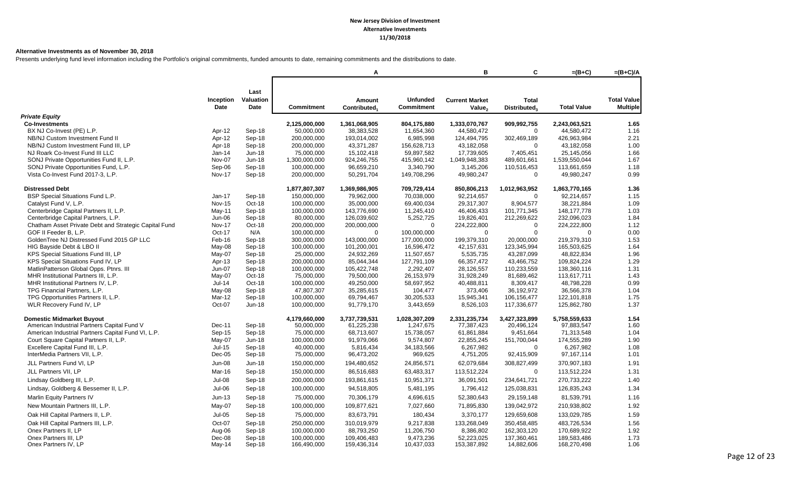#### **Alternative Investments as of November 30, 2018**

Presents underlying fund level information including the Portfolio's original commitments, funded amounts to date, remaining commitments and the distributions to date.

|                                                                                 |                          |                   |                           | A                           |                                      | в                                           | C                            | $=(B+C)$                    | $=(B+C)/A$                            |
|---------------------------------------------------------------------------------|--------------------------|-------------------|---------------------------|-----------------------------|--------------------------------------|---------------------------------------------|------------------------------|-----------------------------|---------------------------------------|
|                                                                                 |                          | Last              |                           |                             |                                      |                                             |                              |                             |                                       |
|                                                                                 | Inception<br><b>Date</b> | Valuation<br>Date | <b>Commitment</b>         | Amount<br>Contributed.      | <b>Unfunded</b><br><b>Commitment</b> | <b>Current Market</b><br>Value <sub>2</sub> | <b>Total</b><br>Distributed. | <b>Total Value</b>          | <b>Total Value</b><br><b>Multiple</b> |
| <b>Private Equity</b>                                                           |                          |                   |                           |                             |                                      |                                             |                              |                             |                                       |
| <b>Co-Investments</b>                                                           |                          |                   | 2,125,000,000             | 1,361,068,905               | 804,175,880                          | 1,333,070,767                               | 909,992,755                  | 2,243,063,521               | 1.65                                  |
| BX NJ Co-Invest (PE) L.P.                                                       | Apr-12                   | Sep-18            | 50,000,000                | 38,383,528                  | 11,654,360                           | 44,580,472                                  | $\Omega$                     | 44,580,472                  | 1.16                                  |
| NB/NJ Custom Investment Fund II                                                 | Apr-12                   | Sep-18            | 200,000,000               | 193,014,002                 | 6.985.998                            | 124,494,795                                 | 302,469,189                  | 426,963,984                 | 2.21                                  |
| NB/NJ Custom Investment Fund III, LP                                            | Apr-18                   | Sep-18            | 200,000,000               | 43,371,287                  | 156,628,713                          | 43,182,058                                  | $\Omega$                     | 43,182,058                  | 1.00                                  |
| NJ Roark Co-Invest Fund III LLC                                                 | Jan-14                   | $Jun-18$          | 75,000,000                | 15,102,418                  | 59,897,582                           | 17,739,605                                  | 7,405,451                    | 25,145,056                  | 1.66                                  |
| SONJ Private Opportunities Fund II, L.P.                                        | Nov-07                   | $Jun-18$          | 1,300,000,000             | 924,246,755                 | 415,960,142                          | 1,049,948,383                               | 489,601,661                  | 1,539,550,044               | 1.67                                  |
| SONJ Private Opportunities Fund, L.P.                                           | Sep-06                   | Sep-18            | 100,000,000               | 96,659,210                  | 3,340,790                            | 3,145,206                                   | 110,516,453                  | 113,661,659                 | 1.18                                  |
| Vista Co-Invest Fund 2017-3, L.P.                                               | <b>Nov-17</b>            | Sep-18            | 200,000,000               | 50,291,704                  | 149,708,296                          | 49,980,247                                  | $\mathbf 0$                  | 49,980,247                  | 0.99                                  |
| <b>Distressed Debt</b>                                                          |                          |                   | 1,877,807,307             | 1,369,986,905               | 709,729,414                          | 850,806,213                                 | 1,012,963,952                | 1,863,770,165               | 1.36                                  |
| BSP Special Situations Fund L.P.                                                | Jan-17                   | Sep-18            | 150,000,000               | 79,962,000                  | 70,038,000                           | 92,214,657                                  | $\Omega$                     | 92,214,657                  | 1.15                                  |
| Catalyst Fund V, L.P.                                                           | <b>Nov-15</b>            | Oct-18            | 100,000,000               | 35,000,000                  | 69,400,034                           | 29,317,307                                  | 8,904,577                    | 38,221,884                  | 1.09                                  |
| Centerbridge Capital Partners II, L.P.                                          | May-11                   | Sep-18            | 100,000,000               | 143,776,690                 | 11,245,410                           | 46,406,433                                  | 101,771,345                  | 148, 177, 778               | 1.03                                  |
| Centerbridge Capital Partners, L.P.                                             | <b>Jun-06</b>            | Sep-18            | 80,000,000                | 126,039,602                 | 5,252,725                            | 19,826,401                                  | 212,269,622                  | 232,096,023                 | 1.84                                  |
| Chatham Asset Private Debt and Strategic Capital Fund                           | <b>Nov-17</b>            | Oct-18            | 200,000,000               | 200,000,000                 | $\mathbf 0$                          | 224,222,800                                 | $\mathbf 0$                  | 224,222,800                 | 1.12                                  |
| GOF II Feeder B. L.P.                                                           | Oct-17                   | N/A               | 100,000,000               | $\Omega$                    | 100,000,000                          | $\Omega$                                    | $\mathbf 0$                  | $\mathbf 0$                 | 0.00                                  |
| GoldenTree NJ Distressed Fund 2015 GP LLC                                       | Feb-16                   | Sep-18            | 300,000,000               | 143,000,000                 | 177,000,000                          | 199,379,310                                 | 20,000,000                   | 219,379,310                 | 1.53                                  |
| HIG Bayside Debt & LBO II                                                       | May-08                   | Sep-18            | 100,000,000               | 101,200,001                 | 16,596,472                           | 42, 157, 631                                | 123,345,994                  | 165,503,625                 | 1.64                                  |
| KPS Special Situations Fund III, LP                                             | May-07                   | Sep-18            | 25,000,000                | 24,932,269                  | 11,507,657                           | 5,535,735                                   | 43,287,099                   | 48,822,834                  | 1.96                                  |
| KPS Special Situations Fund IV, LP                                              | Apr-13                   | Sep-18            | 200,000,000               | 85,044,344                  | 127,791,109                          | 66,357,472                                  | 43,466,752                   | 109,824,224                 | 1.29                                  |
| MatlinPatterson Global Opps. Ptnrs. III<br>MHR Institutional Partners III, L.P. | <b>Jun-07</b>            | Sep-18<br>Oct-18  | 100,000,000               | 105,422,748<br>79,500,000   | 2,292,407                            | 28,126,557<br>31,928,249                    | 110,233,559<br>81,689,462    | 138,360,116                 | 1.31<br>1.43                          |
| MHR Institutional Partners IV, L.P.                                             | May-07<br>$Jul-14$       | Oct-18            | 75,000,000<br>100.000.000 | 49,250,000                  | 26,153,979<br>58.697.952             | 40.488.811                                  | 8.309.417                    | 113,617,711<br>48,798,228   | 0.99                                  |
| TPG Financial Partners, L.P.                                                    | May-08                   | Sep-18            | 47,807,307                | 35,285,615                  | 104,477                              | 373,406                                     | 36,192,972                   | 36,566,378                  | 1.04                                  |
| TPG Opportunities Partners II, L.P.                                             | Mar-12                   | Sep-18            | 100,000,000               | 69,794,467                  | 30,205,533                           | 15,945,341                                  | 106,156,477                  | 122,101,818                 | 1.75                                  |
| WLR Recovery Fund IV, LP                                                        | Oct-07                   | Jun-18            | 100,000,000               | 91,779,170                  | 3,443,659                            | 8,526,103                                   | 117,336,677                  | 125,862,780                 | 1.37                                  |
|                                                                                 |                          |                   |                           |                             |                                      |                                             |                              |                             |                                       |
| <b>Domestic Midmarket Buyout</b><br>American Industrial Partners Capital Fund V | Dec-11                   |                   | 4,179,660,000             | 3,737,739,531<br>61,225,238 | 1,028,307,209<br>1,247,675           | 2,331,235,734<br>77,387,423                 | 3,427,323,899<br>20,496,124  | 5,758,559,633<br>97,883,547 | 1.54<br>1.60                          |
| American Industrial Partners Capital Fund VI, L.P.                              | $Sep-15$                 | Sep-18<br>Sep-18  | 50,000,000<br>75,000,000  | 68,713,607                  | 15,738,057                           | 61,861,884                                  | 9,451,664                    | 71,313,548                  | 1.04                                  |
| Court Square Capital Partners II, L.P.                                          | May-07                   | $Jun-18$          | 100,000,000               | 91,979,066                  | 9,574,807                            | 22,855,245                                  | 151,700,044                  | 174,555,289                 | 1.90                                  |
| Excellere Capital Fund III, L.P.                                                | $Jul-15$                 | Sep-18            | 40,000,000                | 5,816,434                   | 34,183,566                           | 6,267,982                                   | $\mathbf 0$                  | 6,267,982                   | 1.08                                  |
| InterMedia Partners VII, L.P.                                                   | Dec-05                   | Sep-18            | 75,000,000                | 96,473,202                  | 969,625                              | 4,751,205                                   | 92,415,909                   | 97,167,114                  | 1.01                                  |
| JLL Partners Fund VI, LP                                                        | <b>Jun-08</b>            | Jun-18            | 150,000,000               | 194,480,652                 | 24,856,571                           | 62,079,684                                  | 308,827,499                  | 370,907,183                 | 1.91                                  |
|                                                                                 | Mar-16                   |                   | 150,000,000               | 86,516,683                  | 63,483,317                           | 113,512,224                                 | $\mathbf 0$                  |                             | 1.31                                  |
| JLL Partners VII, LP                                                            |                          | Sep-18            |                           |                             |                                      |                                             |                              | 113,512,224                 |                                       |
| Lindsay Goldberg III, L.P.                                                      | <b>Jul-08</b>            | Sep-18            | 200,000,000               | 193,861,615                 | 10,951,371                           | 36,091,501                                  | 234,641,721                  | 270,733,222                 | 1.40                                  |
| Lindsay, Goldberg & Bessemer II, L.P.                                           | $Jul-06$                 | Sep-18            | 100,000,000               | 94,518,805                  | 5,481,195                            | 1,796,412                                   | 125,038,831                  | 126,835,243                 | 1.34                                  |
| Marlin Equity Partners IV                                                       | $Jun-13$                 | Sep-18            | 75,000,000                | 70,306,179                  | 4,696,615                            | 52,380,643                                  | 29,159,148                   | 81,539,791                  | 1.16                                  |
| New Mountain Partners III, L.P.                                                 | May-07                   | Sep-18            | 100,000,000               | 109,877,621                 | 7,027,660                            | 71,895,830                                  | 139,042,972                  | 210,938,802                 | 1.92                                  |
| Oak Hill Capital Partners II, L.P.                                              | $Jul-05$                 | Sep-18            | 75,000,000                | 83,673,791                  | 180,434                              | 3,370,177                                   | 129,659,608                  | 133,029,785                 | 1.59                                  |
| Oak Hill Capital Partners III, L.P.                                             | Oct-07                   | Sep-18            | 250,000,000               | 310,019,979                 | 9,217,838                            | 133,268,049                                 | 350,458,485                  | 483,726,534                 | 1.56                                  |
| Onex Partners II, LP                                                            | Aug-06                   | Sep-18            | 100,000,000               | 88,793,250                  | 11,206,750                           | 8,386,802                                   | 162,303,120                  | 170,689,922                 | 1.92                                  |
| Onex Partners III, LP                                                           | Dec-08                   | Sep-18            | 100,000,000               | 109,406,483                 | 9,473,236                            | 52,223,025                                  | 137,360,461                  | 189,583,486                 | 1.73                                  |
| Onex Partners IV, LP                                                            | May-14                   | Sep-18            | 166,490,000               | 159,436,314                 | 10,437,033                           | 153,387,892                                 | 14,882,606                   | 168,270,498                 | 1.06                                  |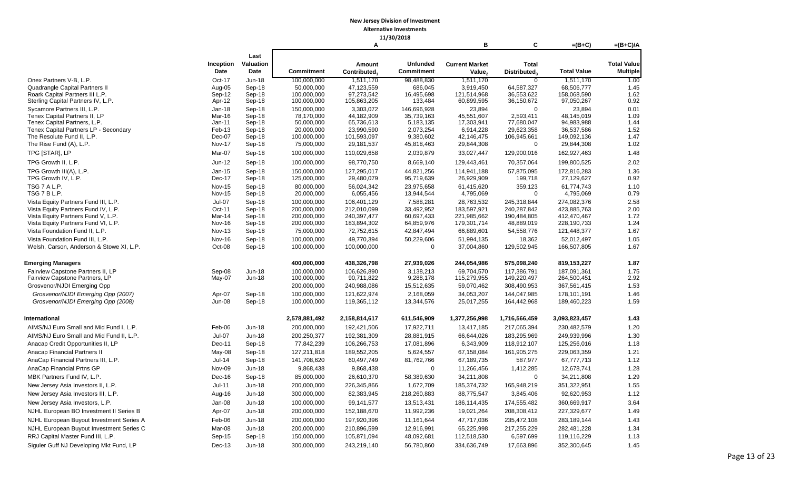#### **11/30/2018**

|                                                              |                                |                  |                           | А                        |                           | в                       | C                        | $=(B+C)$                | $=(B+C)/A$         |
|--------------------------------------------------------------|--------------------------------|------------------|---------------------------|--------------------------|---------------------------|-------------------------|--------------------------|-------------------------|--------------------|
|                                                              |                                | Last             |                           |                          |                           |                         |                          |                         |                    |
|                                                              | Inception                      | Valuation        |                           | Amount                   | <b>Unfunded</b>           | <b>Current Market</b>   | <b>Total</b>             |                         | <b>Total Value</b> |
|                                                              | Date                           | Date             | Commitment                | Contributed <sub>1</sub> | Commitment                | Value <sub>2</sub>      | <b>Distributed</b>       | <b>Total Value</b>      | <b>Multiple</b>    |
| Onex Partners V-B, L.P.                                      | Oct-17                         | <b>Jun-18</b>    | 100,000,000               | 1,511,170                | 98,488,830                | 1,511,170               | $\overline{0}$           | 1,511,170               | 1.00               |
| Quadrangle Capital Partners II                               | Aug-05                         | Sep-18           | 50,000,000                | 47,123,559               | 686,045                   | 3,919,450               | 64,587,327               | 68,506,777              | 1.45               |
| Roark Capital Partners III L.P.                              | Sep-12                         | Sep-18           | 100,000,000               | 97,273,542               | 16,495,698                | 121,514,968             | 36,553,622               | 158,068,590             | 1.62               |
| Sterling Capital Partners IV, L.P.                           | Apr-12                         | Sep-18           | 100,000,000               | 105,863,205              | 133,484                   | 60,899,595              | 36,150,672               | 97,050,267              | 0.92               |
| Sycamore Partners III, L.P.<br>Tenex Capital Partners II, LP | $Jan-18$<br>Mar-16             | Sep-18<br>Sep-18 | 150.000.000<br>78,170,000 | 3,303,072<br>44,182,909  | 146.696.928<br>35,739,163 | 23,894<br>45,551,607    | $\mathbf 0$<br>2,593,411 | 23,894<br>48,145,019    | 0.01<br>1.09       |
| Tenex Capital Partners, L.P.                                 | Jan-11                         | Sep-18           | 50,000,000                | 65,736,613               | 5,183,135                 | 17,303,941              | 77,680,047               | 94,983,988              | 1.44               |
| Tenex Capital Partners LP - Secondary                        | Feb-13                         | Sep-18           | 20,000,000                | 23,990,590               | 2,073,254                 | 6,914,228               | 29,623,358               | 36,537,586              | 1.52               |
| The Resolute Fund II, L.P.                                   | Dec-07                         | Sep-18           | 100,000,000               | 101,593,097              | 9,380,602                 | 42,146,475              | 106,945,661              | 149,092,136             | 1.47               |
| The Rise Fund (A), L.P.                                      | <b>Nov-17</b>                  | Sep-18           | 75,000,000                | 29,181,537               | 45,818,463                | 29,844,308              | $\mathbf 0$              | 29,844,308              | 1.02               |
| TPG [STAR], LP                                               | Mar-07                         | Sep-18           | 100,000,000               | 110,029,658              | 2,039,879                 | 33,027,447              | 129,900,016              | 162,927,463             | 1.48               |
| TPG Growth II, L.P.                                          | Jun-12                         | Sep-18           | 100,000,000               | 98,770,750               | 8,669,140                 | 129,443,461             | 70,357,064               | 199,800,525             | 2.02               |
| TPG Growth III(A), L.P.                                      | Jan-15                         | Sep-18           | 150,000,000               | 127,295,017              | 44,821,256                | 114,941,188             | 57,875,095               | 172,816,283             | 1.36               |
| TPG Growth IV, L.P.                                          | Dec-17                         | Sep-18           | 125,000,000               | 29,480,079               | 95,719,639                | 26,929,909              | 199,718                  | 27,129,627              | 0.92               |
| TSG 7 A L.P.<br>TSG 7 B L.P.                                 | <b>Nov-15</b><br><b>Nov-15</b> | Sep-18<br>Sep-18 | 80,000,000<br>20,000,000  | 56,024,342<br>6,055,456  | 23,975,658<br>13,944,544  | 61,415,620<br>4,795,069 | 359,123<br>$\mathbf 0$   | 61,774,743<br>4,795,069 | 1.10<br>0.79       |
| Vista Equity Partners Fund III, L.P.                         | <b>Jul-07</b>                  | Sep-18           | 100,000,000               | 106,401,129              | 7.588.281                 | 28,763,532              | 245,318,844              | 274,082,376             | 2.58               |
| Vista Equity Partners Fund IV, L.P.                          | Oct-11                         | Sep-18           | 200,000,000               | 212,010,099              | 33,492,952                | 183,597,921             | 240,287,842              | 423,885,763             | 2.00               |
| Vista Equity Partners Fund V, L.P.                           | Mar-14                         | Sep-18           | 200,000,000               | 240,397,477              | 60,697,433                | 221,985,662             | 190,484,805              | 412,470,467             | 1.72               |
| Vista Equity Partners Fund VI, L.P.                          | <b>Nov-16</b>                  | Sep-18           | 200,000,000               | 183,894,302              | 64,859,976                | 179,301,714             | 48,889,019               | 228,190,733             | 1.24               |
| Vista Foundation Fund II, L.P.                               | <b>Nov-13</b>                  | Sep-18           | 75,000,000                | 72,752,615               | 42,847,494                | 66,889,601              | 54,558,776               | 121,448,377             | 1.67               |
| Vista Foundation Fund III, L.P.                              | <b>Nov-16</b>                  | Sep-18           | 100,000,000               | 49,770,394               | 50,229,606                | 51,994,135              | 18,362                   | 52,012,497              | 1.05               |
| Welsh, Carson, Anderson & Stowe XI, L.P.                     | Oct-08                         | Sep-18           | 100,000,000               | 100,000,000              | $\Omega$                  | 37,004,860              | 129,502,945              | 166,507,805             | 1.67               |
| <b>Emerging Managers</b>                                     |                                |                  | 400,000,000               | 438,326,798              | 27,939,026                | 244,054,986             | 575,098,240              | 819,153,227             | 1.87               |
| Fairview Capstone Partners II, LP                            | Sep-08                         | $Jun-18$         | 100.000.000               | 106.626.890              | 3.138.213                 | 69.704.570              | 117.386.791              | 187.091.361             | 1.75               |
| Fairview Capstone Partners, LP                               | May-07                         | Jun-18           | 100,000,000               | 90,711,822               | 9,288,178                 | 115,279,955             | 149,220,497              | 264,500,451             | 2.92               |
| Grosvenor/NJDI Emerging Opp                                  |                                |                  | 200,000,000               | 240,988,086              | 15,512,635                | 59,070,462              | 308,490,953              | 367,561,415             | 1.53               |
| Grosvenor/NJDI Emerging Opp (2007)                           | Apr-07                         | Sep-18           | 100,000,000               | 121,622,974              | 2,168,059                 | 34,053,207              | 144,047,985              | 178,101,191             | 1.46               |
| Grosvenor/NJDI Emerging Opp (2008)                           | <b>Jun-08</b>                  | Sep-18           | 100,000,000               | 119,365,112              | 13,344,576                | 25,017,255              | 164,442,968              | 189,460,223             | 1.59               |
| <b>International</b>                                         |                                |                  | 2,578,881,492             | 2,158,814,617            | 611,546,909               | 1,377,256,998           | 1,716,566,459            | 3,093,823,457           | 1.43               |
| AIMS/NJ Euro Small and Mid Fund I. L.P.                      | Feb-06                         | <b>Jun-18</b>    | 200,000,000               | 192,421,506              | 17,922,711                | 13,417,185              | 217,065,394              | 230,482,579             | 1.20               |
| AIMS/NJ Euro Small and Mid Fund II, L.P.                     | $Jul-07$                       | <b>Jun-18</b>    | 200,250,377               | 192,381,309              | 28,881,915                | 66,644,026              | 183,295,969              | 249,939,996             | 1.30               |
| Anacap Credit Opportunities II, LP                           | Dec-11                         | Sep-18           | 77,842,239                | 106,266,753              | 17,081,896                | 6,343,909               | 118,912,107              | 125,256,016             | 1.18               |
| Anacap Financial Partners II                                 | May-08                         | Sep-18           | 127,211,818               | 189,552,205              | 5,624,557                 | 67,158,084              | 161,905,275              | 229,063,359             | 1.21               |
| AnaCap Financial Partners III, L.P.                          | Jul-14                         | Sep-18           | 141,708,620               | 60,497,749               | 81,762,766                | 67,189,735              | 587,977                  | 67,777,713              | 1.12               |
| AnaCap Financial Prtns GP                                    | Nov-09                         | Jun-18           | 9,868,438                 | 9,868,438                | $\mathbf 0$               | 11,266,456              | 1,412,285                | 12,678,741              | 1.28               |
| MBK Partners Fund IV, L.P.                                   | Dec-16                         | Sep-18           | 85,000,000                | 26,610,370               | 58,389,630                | 34,211,808              | $\mathbf 0$              | 34,211,808              | 1.29               |
| New Jersey Asia Investors II, L.P.                           | Jul-11                         | Jun-18           | 200,000,000               | 226,345,866              | 1,672,709                 | 185,374,732             | 165,948,219              | 351,322,951             | 1.55               |
| New Jersey Asia Investors III, L.P.                          | Aug-16                         | Jun-18           | 300,000,000               | 82,383,945               | 218,260,883               | 88,775,547              | 3,845,406                | 92,620,953              | 1.12               |
| New Jersey Asia Investors, L.P.                              | Jan-08                         | $Jun-18$         | 100,000,000               | 99,141,577               | 13,513,431                | 186,114,435             | 174,555,482              | 360,669,917             | 3.64               |
| NJHL European BO Investment II Series B                      | Apr-07                         | <b>Jun-18</b>    | 200,000,000               | 152,188,670              | 11,992,236                | 19,021,264              | 208,308,412              | 227,329,677             | 1.49               |
| NJHL European Buyout Investment Series A                     | Feb-06                         | <b>Jun-18</b>    | 200,000,000               | 197,920,396              | 11,161,644                | 47,717,036              | 235,472,108              | 283,189,144             | 1.43               |
| NJHL European Buyout Investment Series C                     | Mar-08                         | <b>Jun-18</b>    | 200,000,000               | 210,896,599              | 12,916,991                | 65,225,998              | 217,255,229              | 282,481,228             | 1.34               |
| RRJ Capital Master Fund III, L.P.                            | Sep-15                         | Sep-18           | 150,000,000               | 105,871,094              | 48,092,681                | 112,518,530             | 6,597,699                | 119,116,229             | 1.13               |
| Siguler Guff NJ Developing Mkt Fund, LP                      | $Dec-13$                       | $Jun-18$         | 300,000,000               | 243,219,140              | 56,780,860                | 334,636,749             | 17,663,896               | 352,300,645             | 1.45               |
|                                                              |                                |                  |                           |                          |                           |                         |                          |                         |                    |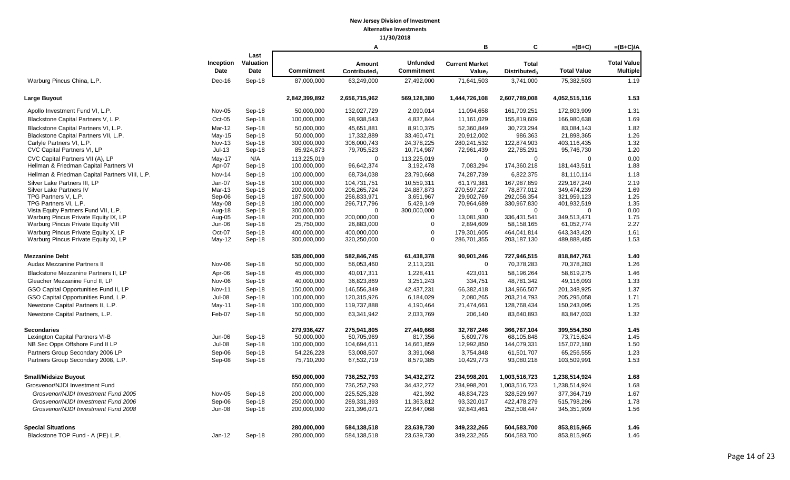**11/30/2018**

|                                                 |                  |                  |                            | Α                          |                         | в                         | C                         | $=(B+C)$                   | $=(B+C)/A$         |
|-------------------------------------------------|------------------|------------------|----------------------------|----------------------------|-------------------------|---------------------------|---------------------------|----------------------------|--------------------|
|                                                 |                  | Last             |                            |                            |                         |                           |                           |                            |                    |
|                                                 | Inception        | Valuation        |                            | Amount                     | <b>Unfunded</b>         | <b>Current Market</b>     | <b>Total</b>              |                            | <b>Total Value</b> |
|                                                 | <b>Date</b>      | Date             | <b>Commitment</b>          | Contributed <sub>1</sub>   | <b>Commitment</b>       | Value <sub>2</sub>        | Distributed <sub>3</sub>  | <b>Total Value</b>         | <b>Multiple</b>    |
| Warburg Pincus China, L.P.                      | Dec-16           | Sep-18           | 87,000,000                 | 63,249,000                 | 27,492,000              | 71,641,503                | 3,741,000                 | 75,382,503                 | 1.19               |
| <b>Large Buyout</b>                             |                  |                  | 2,842,399,892              | 2,656,715,962              | 569,128,380             | 1,444,726,108             | 2,607,789,008             | 4,052,515,116              | 1.53               |
| Apollo Investment Fund VI, L.P.                 | Nov-05           | Sep-18           | 50,000,000                 | 132,027,729                | 2,090,014               | 11,094,658                | 161,709,251               | 172,803,909                | 1.31               |
| Blackstone Capital Partners V, L.P.             | $Oct-05$         | Sep-18           | 100,000,000                | 98,938,543                 | 4,837,844               | 11,161,029                | 155,819,609               | 166,980,638                | 1.69               |
| Blackstone Capital Partners VI, L.P.            | Mar-12           | Sep-18           | 50,000,000                 | 45,651,881                 | 8,910,375               | 52,360,849                | 30,723,294                | 83,084,143                 | 1.82               |
| Blackstone Capital Partners VII, L.P.           | May-15           | Sep-18           | 50,000,000                 | 17,332,889                 | 33,460,471              | 20,912,002                | 986,363                   | 21,898,365                 | 1.26               |
| Carlyle Partners VI, L.P.                       | <b>Nov-13</b>    | Sep-18           | 300,000,000                | 306,000,743                | 24,378,225              | 280,241,532               | 122,874,903               | 403,116,435                | 1.32               |
| CVC Capital Partners VI, LP                     | $Jul-13$         | Sep-18           | 85,924,873                 | 79,705,523                 | 10,714,987              | 72,961,439                | 22,785,291                | 95,746,730                 | 1.20               |
| CVC Capital Partners VII (A), LP                | $May-17$         | N/A              | 113,225,019                | $\mathbf 0$                | 113,225,019             | $\mathbf 0$               | $\mathbf 0$               | $\Omega$                   | 0.00               |
| Hellman & Friedman Capital Partners VI          | Apr-07           | Sep-18           | 100,000,000                | 96,642,374                 | 3,192,478               | 7,083,294                 | 174,360,218               | 181,443,511                | 1.88               |
| Hellman & Friedman Capital Partners VIII, L.P.  | Nov-14           | Sep-18           | 100,000,000                | 68,734,038                 | 23,790,668              | 74,287,739                | 6,822,375                 | 81,110,114                 | 1.18               |
| Silver Lake Partners III, LP                    | Jan-07           | Sep-18           | 100,000,000                | 104,731,751                | 10,559,311              | 61,179,381                | 167,987,859               | 229, 167, 240              | 2.19               |
| Silver Lake Partners IV<br>TPG Partners V, L.P. | Mar-13<br>Sep-06 | Sep-18<br>Sep-18 | 200,000,000<br>187,500,000 | 206,265,724<br>256,833,971 | 24,887,873<br>3,651,967 | 270,597,227<br>29,902,769 | 78,877,012<br>292,056,354 | 349,474,239<br>321,959,123 | 1.69<br>1.25       |
| TPG Partners VI, L.P.                           | May-08           | Sep-18           | 180,000,000                | 296,717,796                | 5,429,149               | 70,964,689                | 330,967,830               | 401,932,519                | 1.35               |
| Vista Equity Partners Fund VII, L.P.            | Aug-18           | Sep-18           | 300,000,000                | $\Omega$                   | 300,000,000             | $\mathbf 0$               | $\Omega$                  | $\Omega$                   | 0.00               |
| Warburg Pincus Private Equity IX, LP            | Aug-05           | Sep-18           | 200,000,000                | 200,000,000                | $\Omega$                | 13,081,930                | 336,431,541               | 349,513,471                | 1.75               |
| Warburg Pincus Private Equity VIII              | Jun-06           | Sep-18           | 25,750,000                 | 26,883,000                 | $\Omega$                | 2,894,609                 | 58,158,165                | 61,052,774                 | 2.27               |
| Warburg Pincus Private Equity X, LP             | Oct-07           | Sep-18           | 400.000.000                | 400.000.000                | $\Omega$                | 179.301.605               | 464.041.814               | 643.343.420                | 1.61               |
| Warburg Pincus Private Equity XI, LP            | May-12           | Sep-18           | 300,000,000                | 320,250,000                | $\mathbf 0$             | 286,701,355               | 203, 187, 130             | 489,888,485                | 1.53               |
| <b>Mezzanine Debt</b>                           |                  |                  | 535,000,000                | 582,846,745                | 61,438,378              | 90,901,246                | 727,946,515               | 818,847,761                | 1.40               |
| Audax Mezzanine Partners II                     | Nov-06           | Sep-18           | 50,000,000                 | 56,053,460                 | 2,113,231               | 0                         | 70,378,283                | 70,378,283                 | 1.26               |
| Blackstone Mezzanine Partners II, LP            | Apr-06           | Sep-18           | 45,000,000                 | 40,017,311                 | 1,228,411               | 423,011                   | 58,196,264                | 58,619,275                 | 1.46               |
| Gleacher Mezzanine Fund II, LP                  | Nov-06           | Sep-18           | 40,000,000                 | 36,823,869                 | 3,251,243               | 334,751                   | 48,781,342                | 49,116,093                 | 1.33               |
| GSO Capital Opportunities Fund II, LP           | <b>Nov-11</b>    | Sep-18           | 150,000,000                | 146,556,349                | 42,437,231              | 66,382,418                | 134,966,507               | 201,348,925                | 1.37               |
| GSO Capital Opportunities Fund, L.P.            | <b>Jul-08</b>    | Sep-18           | 100,000,000                | 120,315,926                | 6,184,029               | 2,080,265                 | 203,214,793               | 205,295,058                | 1.71               |
| Newstone Capital Partners II, L.P.              | May-11           | Sep-18           | 100,000,000                | 119,737,888                | 4,190,464               | 21,474,661                | 128,768,434               | 150,243,095                | 1.25               |
| Newstone Capital Partners, L.P.                 | Feb-07           | Sep-18           | 50,000,000                 | 63,341,942                 | 2,033,769               | 206,140                   | 83,640,893                | 83,847,033                 | 1.32               |
| <b>Secondaries</b>                              |                  |                  | 279,936,427                | 275,941,805                | 27,449,668              | 32,787,246                | 366,767,104               | 399,554,350                | 1.45               |
| Lexington Capital Partners VI-B                 | Jun-06           | Sep-18           | 50,000,000                 | 50,705,969                 | 817,356                 | 5,609,776                 | 68,105,848                | 73,715,624                 | 1.45               |
| NB Sec Opps Offshore Fund II LP                 | Jul-08           | Sep-18           | 100,000,000                | 104,694,611                | 14,661,859              | 12,992,850                | 144,079,331               | 157,072,180                | 1.50               |
| Partners Group Secondary 2006 LP                | Sep-06           | Sep-18           | 54,226,228                 | 53,008,507                 | 3,391,068               | 3,754,848                 | 61,501,707                | 65,256,555                 | 1.23               |
| Partners Group Secondary 2008, L.P.             | Sep-08           | Sep-18           | 75,710,200                 | 67,532,719                 | 8,579,385               | 10,429,773                | 93,080,218                | 103,509,991                | 1.53               |
| <b>Small/Midsize Buyout</b>                     |                  |                  | 650,000,000                | 736,252,793                | 34,432,272              | 234,998,201               | 1,003,516,723             | 1,238,514,924              | 1.68               |
| Grosvenor/NJDI Investment Fund                  |                  |                  | 650,000,000                | 736,252,793                | 34,432,272              | 234,998,201               | 1,003,516,723             | 1,238,514,924              | 1.68               |
| Grosvenor/NJDI Investment Fund 2005             | Nov-05           | Sep-18           | 200,000,000                | 225,525,328                | 421,392                 | 48,834,723                | 328,529,997               | 377,364,719                | 1.67               |
| Grosvenor/NJDI Investment Fund 2006             | Sep-06           | Sep-18           | 250,000,000                | 289,331,393                | 11,363,812              | 93,320,017                | 422,478,279               | 515,798,296                | 1.78               |
| Grosvenor/NJDI Investment Fund 2008             | Jun-08           | Sep-18           | 200,000,000                | 221,396,071                | 22,647,068              | 92,843,461                | 252,508,447               | 345,351,909                | 1.56               |
| <b>Special Situations</b>                       |                  |                  | 280,000,000                | 584,138,518                | 23,639,730              | 349,232,265               | 504,583,700               | 853,815,965                | 1.46               |
| Blackstone TOP Fund - A (PE) L.P.               | Jan-12           | Sep-18           | 280,000,000                | 584,138,518                | 23,639,730              | 349,232,265               | 504,583,700               | 853,815,965                | 1.46               |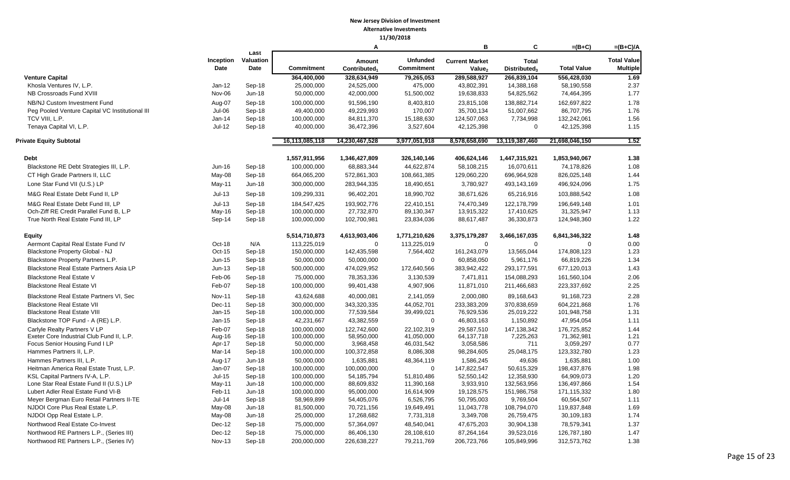|                                                 |                   |                           |                   | Α                                  |                                      | в                                           | C                                        | $=(B+C)$           | $=(B+C)/A$                            |
|-------------------------------------------------|-------------------|---------------------------|-------------------|------------------------------------|--------------------------------------|---------------------------------------------|------------------------------------------|--------------------|---------------------------------------|
|                                                 | Inception<br>Date | Last<br>Valuation<br>Date | <b>Commitment</b> | Amount<br>Contributed <sub>1</sub> | <b>Unfunded</b><br><b>Commitment</b> | <b>Current Market</b><br>Value <sub>2</sub> | <b>Total</b><br>Distributed <sub>3</sub> | <b>Total Value</b> | <b>Total Value</b><br><b>Multiple</b> |
| <b>Venture Capital</b>                          |                   |                           | 364,400,000       | 328,634,949                        | 79,265,053                           | 289,588,927                                 | 266,839,104                              | 556,428,030        | 1.69                                  |
| Khosla Ventures IV, L.P.                        | Jan-12            | Sep-18                    | 25,000,000        | 24,525,000                         | 475,000                              | 43,802,391                                  | 14,388,168                               | 58,190,558         | 2.37                                  |
| NB Crossroads Fund XVIII                        | Nov-06            | Jun-18                    | 50,000,000        | 42,000,000                         | 51,500,002                           | 19,638,833                                  | 54,825,562                               | 74,464,395         | 1.77                                  |
| NB/NJ Custom Investment Fund                    | Aug-07            | Sep-18                    | 100,000,000       | 91,596,190                         | 8,403,810                            | 23,815,108                                  | 138,882,714                              | 162,697,822        | 1.78                                  |
| Peg Pooled Venture Capital VC Institutional III | $Jul-06$          | Sep-18                    | 49,400,000        | 49,229,993                         | 170,007                              | 35,700,134                                  | 51,007,662                               | 86,707,795         | 1.76                                  |
| TCV VIII, L.P.                                  | Jan-14            | Sep-18                    | 100,000,000       | 84,811,370                         | 15,188,630                           | 124,507,063                                 | 7,734,998                                | 132,242,061        | 1.56                                  |
| Tenaya Capital VI, L.P.                         | $Jul-12$          | Sep-18                    | 40,000,000        | 36,472,396                         | 3,527,604                            | 42,125,398                                  | $\mathbf 0$                              | 42,125,398         | 1.15                                  |
| <b>Private Equity Subtotal</b>                  |                   |                           | 16,113,085,118    | 14,230,467,528                     | 3,977,051,918                        | 8,578,658,690                               | 13,119,387,460                           | 21,698,046,150     | 1.52                                  |
| <b>Debt</b>                                     |                   |                           | 1,557,911,956     | 1,346,427,809                      | 326,140,146                          | 406,624,146                                 | 1,447,315,921                            | 1,853,940,067      | 1.38                                  |
| Blackstone RE Debt Strategies III, L.P.         | Jun-16            | Sep-18                    | 100,000,000       | 68,883,344                         | 44,622,874                           | 58,108,215                                  | 16,070,611                               | 74,178,826         | 1.08                                  |
| CT High Grade Partners II, LLC                  | May-08            | Sep-18                    | 664,065,200       | 572,861,303                        | 108,661,385                          | 129,060,220                                 | 696,964,928                              | 826,025,148        | 1.44                                  |
| Lone Star Fund VII (U.S.) LP                    | May-11            | Jun-18                    | 300,000,000       | 283,944,335                        | 18,490,651                           | 3,780,927                                   | 493,143,169                              | 496,924,096        | 1.75                                  |
| M&G Real Estate Debt Fund II, LP                | $Jul-13$          | Sep-18                    | 109,299,331       | 96,402,201                         | 18,990,702                           | 38,671,626                                  | 65,216,916                               | 103,888,542        | 1.08                                  |
| M&G Real Estate Debt Fund III, LP               | $Jul-13$          | Sep-18                    | 184,547,425       | 193,902,776                        | 22,410,151                           | 74,470,349                                  | 122,178,799                              | 196,649,148        | 1.01                                  |
| Och-Ziff RE Credit Parallel Fund B, L.P         | May-16            | Sep-18                    | 100,000,000       | 27,732,870                         | 89,130,347                           | 13,915,322                                  | 17,410,625                               | 31,325,947         | 1.13                                  |
| True North Real Estate Fund III, LP             | Sep-14            | Sep-18                    | 100,000,000       | 102,700,981                        | 23,834,036                           | 88,617,487                                  | 36,330,873                               | 124,948,360        | 1.22                                  |
| <b>Equity</b>                                   |                   |                           | 5,514,710,873     | 4,613,903,406                      | 1,771,210,626                        | 3,375,179,287                               | 3,466,167,035                            | 6,841,346,322      | 1.48                                  |
| Aermont Capital Real Estate Fund IV             | Oct-18            | N/A                       | 113,225,019       | $\Omega$                           | 113,225,019                          | $\mathbf 0$                                 | $\mathbf 0$                              | $\Omega$           | 0.00                                  |
| Blackstone Property Global - NJ                 | Oct-15            | Sep-18                    | 150,000,000       | 142,435,598                        | 7,564,402                            | 161,243,079                                 | 13,565,044                               | 174,808,123        | 1.23                                  |
| Blackstone Property Partners L.P.               | Jun-15            | Sep-18                    | 50,000,000        | 50,000,000                         | $\Omega$                             | 60,858,050                                  | 5,961,176                                | 66,819,226         | 1.34                                  |
| Blackstone Real Estate Partners Asia LP         | Jun-13            | Sep-18                    | 500,000,000       | 474,029,952                        | 172,640,566                          | 383,942,422                                 | 293,177,591                              | 677,120,013        | 1.43                                  |
| <b>Blackstone Real Estate V</b>                 | Feb-06            | Sep-18                    | 75,000,000        | 78,353,336                         | 3,130,539                            | 7,471,811                                   | 154,088,293                              | 161,560,104        | 2.06                                  |
| <b>Blackstone Real Estate VI</b>                | Feb-07            | Sep-18                    | 100,000,000       | 99,401,438                         | 4,907,906                            | 11,871,010                                  | 211,466,683                              | 223,337,692        | 2.25                                  |
| Blackstone Real Estate Partners VI, Sec         | <b>Nov-11</b>     | Sep-18                    | 43,624,688        | 40,000,081                         | 2,141,059                            | 2,000,080                                   | 89,168,643                               | 91,168,723         | 2.28                                  |
| <b>Blackstone Real Estate VII</b>               | Dec-11            | Sep-18                    | 300,000,000       | 343,320,335                        | 44,052,701                           | 233,383,209                                 | 370,838,659                              | 604,221,868        | 1.76                                  |
| <b>Blackstone Real Estate VIII</b>              | Jan-15            | Sep-18                    | 100,000,000       | 77,539,584                         | 39,499,021                           | 76,929,536                                  | 25,019,222                               | 101,948,758        | 1.31                                  |
| Blackstone TOP Fund - A (RE) L.P.               | Jan-15            | Sep-18                    | 42,231,667        | 43,382,559                         | $\mathbf 0$                          | 46,803,163                                  | 1,150,892                                | 47,954,054         | 1.11                                  |
| Carlyle Realty Partners V LP                    | Feb-07            | Sep-18                    | 100,000,000       | 122,742,600                        | 22,102,319                           | 29,587,510                                  | 147,138,342                              | 176,725,852        | 1.44                                  |
| Exeter Core Industrial Club Fund II, L.P.       | Aug-16            | Sep-18                    | 100,000,000       | 58,950,000                         | 41,050,000                           | 64, 137, 718                                | 7,225,263                                | 71,362,981         | 1.21                                  |
| Focus Senior Housing Fund I LP                  | Apr-17            | Sep-18                    | 50,000,000        | 3,968,458                          | 46,031,542                           | 3,058,586                                   | 711                                      | 3,059,297          | 0.77                                  |
| Hammes Partners II, L.P.                        | Mar-14            | Sep-18                    | 100,000,000       | 100,372,858                        | 8,086,308                            | 98,284,605                                  | 25,048,175                               | 123,332,780        | 1.23                                  |
| Hammes Partners III, L.P.                       | Aug-17            | Jun-18                    | 50,000,000        | 1,635,881                          | 48,364,119                           | 1,586,245                                   | 49,636                                   | 1,635,881          | 1.00                                  |
| Heitman America Real Estate Trust, L.P.         | Jan-07            | Sep-18                    | 100,000,000       | 100,000,000                        | $\Omega$                             | 147,822,547                                 | 50,615,329                               | 198,437,876        | 1.98                                  |
| KSL Capital Partners IV-A, L.P.                 | $Jul-15$          | Sep-18                    | 100,000,000       | 54,185,794                         | 51,810,486                           | 52,550,142                                  | 12,358,930                               | 64,909,073         | 1.20                                  |
| Lone Star Real Estate Fund II (U.S.) LP         | May-11            | Jun-18                    | 100,000,000       | 88,609,832                         | 11,390,168                           | 3,933,910                                   | 132,563,956                              | 136,497,866        | 1.54                                  |
| Lubert Adler Real Estate Fund VI-B              | Feb-11            | $Jun-18$                  | 100,000,000       | 95,000,000                         | 16,614,909                           | 19,128,575                                  | 151,986,758                              | 171,115,332        | 1.80                                  |
| Meyer Bergman Euro Retail Partners II-TE        | $Jul-14$          | Sep-18                    | 58,969,899        | 54,405,076                         | 6,526,795                            | 50,795,003                                  | 9,769,504                                | 60,564,507         | 1.11                                  |
| NJDOI Core Plus Real Estate L.P.                | May-08            | Jun-18                    | 81,500,000        | 70,721,156                         | 19,649,491                           | 11,043,778                                  | 108,794,070                              | 119,837,848        | 1.69                                  |
| NJDOI Opp Real Estate L.P.                      | May-08            | Jun-18                    | 25,000,000        | 17,268,682                         | 7,731,318                            | 3,349,708                                   | 26,759,475                               | 30,109,183         | 1.74                                  |
| Northwood Real Estate Co-Invest                 | Dec-12            | Sep-18                    | 75,000,000        | 57,364,097                         | 48,540,041                           | 47,675,203                                  | 30,904,138                               | 78,579,341         | 1.37                                  |
| Northwood RE Partners L.P., (Series III)        | Dec-12            | Sep-18                    | 75,000,000        | 86,406,130                         | 28,108,610                           | 87,264,164                                  | 39,523,016                               | 126,787,180        | 1.47                                  |
| Northwood RE Partners L.P., (Series IV)         | <b>Nov-13</b>     | Sep-18                    | 200,000,000       | 226,638,227                        | 79,211,769                           | 206,723,766                                 | 105,849,996                              | 312,573,762        | 1.38                                  |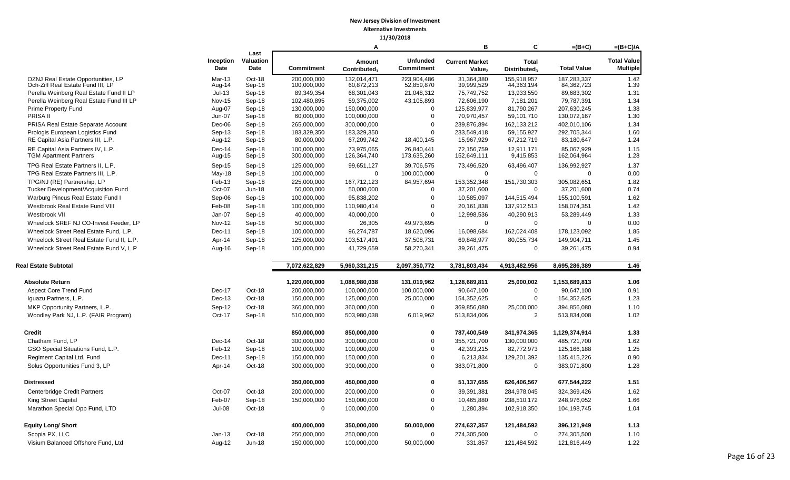|                                                                        |                          |                                  |                            | Α                                  |                                      | в                                           | C                                        | $=(B+C)$                  | $=(B+C)/A$                            |
|------------------------------------------------------------------------|--------------------------|----------------------------------|----------------------------|------------------------------------|--------------------------------------|---------------------------------------------|------------------------------------------|---------------------------|---------------------------------------|
|                                                                        | Inception<br><b>Date</b> | Last<br>Valuation<br><b>Date</b> | <b>Commitment</b>          | Amount<br>Contributed <sub>1</sub> | <b>Unfunded</b><br><b>Commitment</b> | <b>Current Market</b><br>Value <sub>2</sub> | <b>Total</b><br>Distributed <sub>3</sub> | <b>Total Value</b>        | <b>Total Value</b><br><b>Multiple</b> |
| OZNJ Real Estate Opportunities, LP                                     | $Mar-13$                 | Oct-18                           | 200.000.000                | 132.014.471                        | 223.904.486                          | 31.364.380                                  | 155.918.957                              | 187.283.337               | 1.42                                  |
| Och-Ziff Real Estate Fund III, LP                                      | Aug-14                   | Sep-18                           | 100,000,000                | 60,872,213                         | 52,859,870                           | 39,999,529                                  | 44,363,194                               | 84,362,723                | 1.39                                  |
| Perella Weinberg Real Estate Fund II LP                                | $Jul-13$                 | Sep-18                           | 89,349,354                 | 68,301,043                         | 21,048,312                           | 75,749,752                                  | 13,933,550                               | 89,683,302                | 1.31                                  |
| Perella Weinberg Real Estate Fund III LP                               | <b>Nov-15</b>            | Sep-18                           | 102,480,895                | 59,375,002                         | 43,105,893                           | 72,606,190                                  | 7,181,201                                | 79,787,391                | 1.34                                  |
| <b>Prime Property Fund</b>                                             | Aug-07                   | Sep-18                           | 130,000,000                | 150,000,000                        | $\Omega$                             | 125,839,977                                 | 81,790,267                               | 207,630,245               | 1.38                                  |
| PRISA II                                                               | Jun-07                   | Sep-18                           | 60,000,000                 | 100,000,000                        | $\mathbf 0$<br>$\Omega$              | 70,970,457                                  | 59,101,710                               | 130,072,167               | 1.30                                  |
| PRISA Real Estate Separate Account                                     | Dec-06                   | Sep-18                           | 265,000,000                | 300,000,000                        |                                      | 239,876,894                                 | 162, 133, 212                            | 402,010,106               | 1.34                                  |
| Prologis European Logistics Fund<br>RE Capital Asia Partners III, L.P. | Sep-13<br>Aug-12         | Sep-18<br>Sep-18                 | 183,329,350<br>80,000,000  | 183,329,350<br>67,209,742          | $\Omega$<br>18,400,145               | 233,549,418<br>15,967,929                   | 59,155,927<br>67,212,719                 | 292,705,344<br>83,180,647 | 1.60<br>1.24                          |
| RE Capital Asia Partners IV, L.P.<br><b>TGM Apartment Partners</b>     | Dec-14<br>Aug-15         | Sep-18<br>Sep-18                 | 100,000,000<br>300,000,000 | 73,975,065<br>126,364,740          | 26,840,441<br>173,635,260            | 72,156,759<br>152,649,111                   | 12,911,171<br>9,415,853                  | 85,067,929<br>162,064,964 | 1.15<br>1.28                          |
| TPG Real Estate Partners II, L.P.                                      | Sep-15                   | Sep-18                           | 125,000,000                | 99,651,127                         | 39,706,575                           | 73,496,520                                  | 63,496,407                               | 136,992,927               | 1.37                                  |
| TPG Real Estate Partners III, L.P.                                     | $May-18$                 | Sep-18                           | 100,000,000                | $\Omega$                           | 100,000,000                          | $\mathbf 0$                                 | $\mathbf 0$                              | $\mathbf 0$               | 0.00                                  |
| TPG/NJ (RE) Partnership, LP                                            | $Feb-13$                 | Sep-18                           | 225,000,000                | 167,712,123                        | 84,957,694                           | 153,352,348                                 | 151,730,303                              | 305,082,651               | 1.82                                  |
| Tucker Development/Acquisition Fund                                    | Oct-07                   | Jun-18                           | 50,000,000                 | 50,000,000                         | $\mathbf 0$                          | 37,201,600                                  | 0                                        | 37,201,600                | 0.74                                  |
| Warburg Pincus Real Estate Fund I                                      | Sep-06                   | Sep-18                           | 100,000,000                | 95,838,202                         | $\overline{0}$                       | 10,585,097                                  | 144,515,494                              | 155,100,591               | 1.62                                  |
| Westbrook Real Estate Fund VIII                                        | Feb-08                   | Sep-18                           | 100,000,000                | 110,980,414                        | $\Omega$                             | 20,161,838                                  | 137,912,513                              | 158,074,351               | 1.42                                  |
| Westbrook VII                                                          | Jan-07                   | Sep-18                           | 40,000,000                 | 40,000,000                         | $\Omega$                             | 12,998,536                                  | 40,290,913                               | 53,289,449                | 1.33                                  |
| Wheelock SREF NJ CO-Invest Feeder, LP                                  | <b>Nov-12</b>            | Sep-18                           | 50,000,000                 | 26,305                             | 49,973,695                           | $\mathbf 0$                                 | $\mathbf 0$                              | 0                         | 0.00                                  |
| Wheelock Street Real Estate Fund, L.P.                                 | Dec-11                   | Sep-18                           | 100,000,000                | 96,274,787                         | 18,620,096                           | 16,098,684                                  | 162,024,408                              | 178,123,092               | 1.85                                  |
| Wheelock Street Real Estate Fund II, L.P.                              | Apr-14                   | Sep-18                           | 125,000,000                | 103,517,491                        | 37,508,731                           | 69,848,977                                  | 80,055,734                               | 149,904,711               | 1.45                                  |
| Wheelock Street Real Estate Fund V, L.P                                | Aug-16                   | Sep-18                           | 100,000,000                | 41,729,659                         | 58,270,341                           | 39,261,475                                  | $\mathbf 0$                              | 39,261,475                | 0.94                                  |
| <b>Real Estate Subtotal</b>                                            |                          |                                  | 7,072,622,829              | 5,960,331,215                      | 2,097,350,772                        | 3,781,803,434                               | 4,913,482,956                            | 8,695,286,389             | 1.46                                  |
| <b>Absolute Return</b>                                                 |                          |                                  | 1,220,000,000              | 1,088,980,038                      | 131.019.962                          | 1,128,689,811                               | 25,000,002                               | 1,153,689,813             | 1.06                                  |
| <b>Aspect Core Trend Fund</b>                                          | Dec-17                   | Oct-18                           | 200,000,000                | 100,000,000                        | 100,000,000                          | 90,647,100                                  | $\mathbf 0$                              | 90,647,100                | 0.91                                  |
| Iguazu Partners, L.P.                                                  | Dec-13                   | Oct-18                           | 150,000,000                | 125,000,000                        | 25,000,000                           | 154,352,625                                 | $\mathbf 0$                              | 154,352,625               | 1.23                                  |
| MKP Opportunity Partners, L.P.                                         | Sep-12                   | Oct-18                           | 360,000,000                | 360,000,000                        | $\mathbf 0$                          | 369,856,080                                 | 25,000,000                               | 394,856,080               | 1.10                                  |
| Woodley Park NJ, L.P. (FAIR Program)                                   | Oct-17                   | Sep-18                           | 510,000,000                | 503,980,038                        | 6,019,962                            | 513,834,006                                 | 2                                        | 513,834,008               | 1.02                                  |
| <b>Credit</b>                                                          |                          |                                  | 850,000,000                | 850,000,000                        | 0                                    |                                             |                                          |                           | 1.33                                  |
|                                                                        |                          |                                  |                            |                                    |                                      | 787,400,549                                 | 341,974,365                              | 1,129,374,914             |                                       |
| Chatham Fund, LP                                                       | Dec-14                   | Oct-18                           | 300,000,000                | 300,000,000                        | $\overline{0}$<br>$\overline{0}$     | 355,721,700                                 | 130,000,000                              | 485,721,700               | 1.62                                  |
| GSO Special Situations Fund, L.P.                                      | Feb-12                   | Sep-18                           | 100,000,000                | 100,000,000                        |                                      | 42,393,215                                  | 82,772,973                               | 125,166,188               | 1.25                                  |
| Regiment Capital Ltd. Fund                                             | Dec-11                   | Sep-18                           | 150,000,000                | 150,000,000                        | $\overline{0}$                       | 6,213,834                                   | 129,201,392                              | 135,415,226               | 0.90                                  |
| Solus Opportunities Fund 3, LP                                         | Apr-14                   | Oct-18                           | 300,000,000                | 300,000,000                        | $\Omega$                             | 383,071,800                                 | $\mathbf 0$                              | 383,071,800               | 1.28                                  |
| <b>Distressed</b>                                                      |                          |                                  | 350,000,000                | 450,000,000                        | 0                                    | 51,137,655                                  | 626,406,567                              | 677,544,222               | 1.51                                  |
| Centerbridge Credit Partners                                           | Oct-07                   | Oct-18                           | 200,000,000                | 200,000,000                        | $\Omega$                             | 39,391,381                                  | 284,978,045                              | 324,369,426               | 1.62                                  |
| King Street Capital                                                    | Feb-07                   | Sep-18                           | 150,000,000                | 150,000,000                        | $\Omega$                             | 10,465,880                                  | 238,510,172                              | 248,976,052               | 1.66                                  |
| Marathon Special Opp Fund, LTD                                         | $Jul-08$                 | Oct-18                           | $\mathbf 0$                | 100,000,000                        | $\Omega$                             | 1,280,394                                   | 102,918,350                              | 104,198,745               | 1.04                                  |
| <b>Equity Long/ Short</b>                                              |                          |                                  | 400,000,000                | 350,000,000                        | 50,000,000                           | 274,637,357                                 | 121,484,592                              | 396,121,949               | 1.13                                  |
| Scopia PX, LLC                                                         | $Jan-13$                 | Oct-18                           | 250,000,000                | 250,000,000                        | $\Omega$                             | 274,305,500                                 | $\mathbf 0$                              | 274,305,500               | 1.10                                  |
| Visium Balanced Offshore Fund, Ltd                                     | Aug-12                   | Jun-18                           | 150,000,000                | 100,000,000                        | 50,000,000                           | 331,857                                     | 121,484,592                              | 121,816,449               | 1.22                                  |
|                                                                        |                          |                                  |                            |                                    |                                      |                                             |                                          |                           |                                       |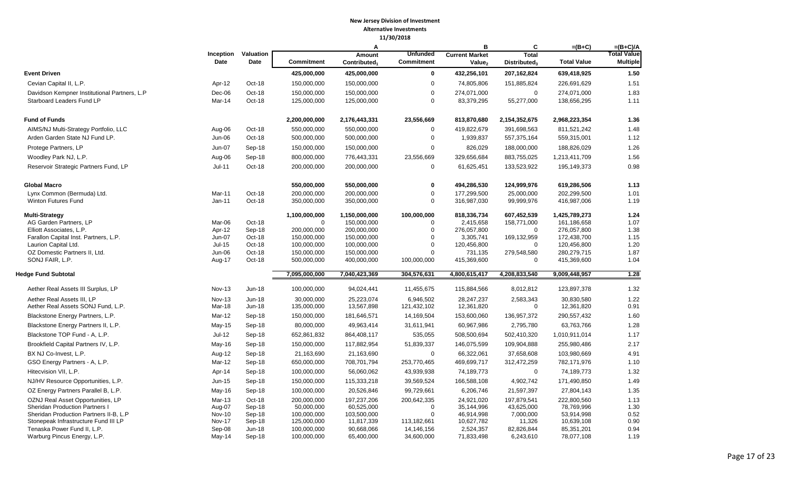|                                                                           |                   |                    |                            | A                          |                               | B                         | C                          | $=(B+C)$                   | $=(B+C)/A$                            |
|---------------------------------------------------------------------------|-------------------|--------------------|----------------------------|----------------------------|-------------------------------|---------------------------|----------------------------|----------------------------|---------------------------------------|
|                                                                           | Inception<br>Date | Valuation<br>Date  | <b>Commitment</b>          | Amount                     | <b>Unfunded</b><br>Commitment | <b>Current Market</b>     | <b>Total</b>               | <b>Total Value</b>         | <b>Total Value</b><br><b>Multiple</b> |
|                                                                           |                   |                    |                            | Controller <sub>1</sub>    |                               | Value <sub>2</sub>        | Distributed <sub>3</sub>   |                            |                                       |
| <b>Event Driven</b>                                                       |                   |                    | 425,000,000                | 425,000,000                | $\bf{0}$                      | 432,256,101               | 207,162,824                | 639,418,925                | 1.50                                  |
| Cevian Capital II, L.P.                                                   | Apr-12            | Oct-18             | 150,000,000                | 150,000,000                | $\overline{0}$                | 74,805,806                | 151,885,824                | 226,691,629                | 1.51                                  |
| Davidson Kempner Institutional Partners, L.P<br>Starboard Leaders Fund LP | Dec-06<br>Mar-14  | Oct-18<br>Oct-18   | 150,000,000<br>125,000,000 | 150,000,000<br>125,000,000 | $\overline{0}$<br>$\mathbf 0$ | 274,071,000<br>83,379,295 | 0<br>55,277,000            | 274,071,000<br>138,656,295 | 1.83<br>1.11                          |
| <b>Fund of Funds</b>                                                      |                   |                    | 2,200,000,000              | 2,176,443,331              | 23,556,669                    | 813,870,680               | 2,154,352,675              | 2,968,223,354              | 1.36                                  |
| AIMS/NJ Multi-Strategy Portfolio, LLC                                     | Aug-06            | Oct-18             | 550,000,000                | 550,000,000                | $\mathbf 0$                   | 419,822,679               | 391,698,563                | 811,521,242                | 1.48                                  |
| Arden Garden State NJ Fund LP.                                            | Jun-06            | Oct-18             | 500,000,000                | 500,000,000                | $\mathbf 0$                   | 1,939,837                 | 557,375,164                | 559,315,001                | 1.12                                  |
| Protege Partners, LP                                                      | Jun-07            | Sep-18             | 150,000,000                | 150,000,000                | $\mathbf 0$                   | 826,029                   | 188,000,000                | 188,826,029                | 1.26                                  |
| Woodley Park NJ, L.P.                                                     | Aug-06            | Sep-18             | 800,000,000                | 776,443,331                | 23,556,669                    | 329,656,684               | 883,755,025                | 1,213,411,709              | 1.56                                  |
| Reservoir Strategic Partners Fund, LP                                     | $Jul-11$          | Oct-18             | 200,000,000                | 200,000,000                | $\mathbf 0$                   | 61,625,451                | 133,523,922                | 195,149,373                | 0.98                                  |
| <b>Global Macro</b>                                                       |                   |                    | 550,000,000                | 550,000,000                | $\mathbf 0$                   | 494,286,530               | 124,999,976                | 619,286,506                | 1.13                                  |
| Lynx Common (Bermuda) Ltd.                                                | Mar-11            | Oct-18             | 200,000,000                | 200,000,000                | $\mathbf 0$                   | 177,299,500               | 25,000,000                 | 202,299,500                | 1.01                                  |
| <b>Winton Futures Fund</b>                                                | $Jan-11$          | Oct-18             | 350,000,000                | 350,000,000                | $\mathbf 0$                   | 316,987,030               | 99,999,976                 | 416,987,006                | 1.19                                  |
| <b>Multi-Strategy</b>                                                     |                   |                    | 1,100,000,000              | 1,150,000,000              | 100,000,000                   | 818,336,734               | 607,452,539                | 1,425,789,273              | 1.24                                  |
| AG Garden Partners, LP                                                    | Mar-06            | Oct-18             | $\mathbf 0$                | 150,000,000                | $\mathbf 0$                   | 2,415,658                 | 158,771,000                | 161,186,658                | 1.07                                  |
| Elliott Associates, L.P.                                                  | Apr-12            | Sep-18             | 200,000,000                | 200,000,000                | $\overline{0}$<br>$\Omega$    | 276,057,800               | 0                          | 276,057,800                | 1.38                                  |
| Farallon Capital Inst. Partners, L.P.<br>Laurion Capital Ltd.             | Jun-07<br>Jul-15  | Oct-18<br>Oct-18   | 150,000,000<br>100,000,000 | 150,000,000<br>100,000,000 | $\overline{0}$                | 3,305,741<br>120,456,800  | 169,132,959<br>$\mathbf 0$ | 172,438,700<br>120,456,800 | 1.15<br>1.20                          |
| OZ Domestic Partners II, Ltd.                                             | Jun-06            | Oct-18             | 150,000,000                | 150,000,000                | $\mathbf 0$                   | 731,135                   | 279,548,580                | 280,279,715                | 1.87                                  |
| SONJ FAIR, L.P.                                                           | Aug-17            | Oct-18             | 500,000,000                | 400,000,000                | 100,000,000                   | 415,369,600               | 0                          | 415,369,600                | 1.04                                  |
| <b>Hedge Fund Subtotal</b>                                                |                   |                    | 7,095,000,000              | 7,040,423,369              | 304,576,631                   | 4,800,615,417             | 4,208,833,540              | 9,009,448,957              | 1.28                                  |
| Aether Real Assets III Surplus, LP                                        | Nov-13            | <b>Jun-18</b>      | 100,000,000                | 94,024,441                 | 11,455,675                    | 115,884,566               | 8,012,812                  | 123,897,378                | 1.32                                  |
| Aether Real Assets III, LP                                                | Nov-13            | <b>Jun-18</b>      | 30,000,000                 | 25,223,074                 | 6,946,502                     | 28,247,237                | 2,583,343                  | 30,830,580                 | 1.22                                  |
| Aether Real Assets SONJ Fund, L.P.                                        | Mar-18            | Jun-18             | 135,000,000                | 13,567,898                 | 121,432,102                   | 12,361,820                | 0                          | 12,361,820                 | 0.91                                  |
| Blackstone Energy Partners, L.P.                                          | Mar-12            | Sep-18             | 150,000,000                | 181,646,571                | 14,169,504                    | 153,600,060               | 136,957,372                | 290,557,432                | 1.60                                  |
| Blackstone Energy Partners II, L.P.                                       | May-15            | Sep-18             | 80,000,000                 | 49,963,414                 | 31,611,941                    | 60,967,986                | 2,795,780                  | 63,763,766                 | 1.28                                  |
| Blackstone TOP Fund - A, L.P.                                             | $Jul-12$          | Sep-18             | 652,861,832                | 864,408,117                | 535,055                       | 508,500,694               | 502,410,320                | 1,010,911,014              | 1.17                                  |
| Brookfield Capital Partners IV, L.P.                                      | May-16            | Sep-18             | 150,000,000                | 117,882,954                | 51,839,337                    | 146,075,599               | 109,904,888                | 255,980,486                | 2.17                                  |
| BX NJ Co-Invest, L.P.                                                     | Aug-12            | Sep-18             | 21,163,690                 | 21,163,690                 | $\mathbf 0$                   | 66,322,061                | 37,658,608                 | 103,980,669                | 4.91                                  |
| GSO Energy Partners - A, L.P.                                             | Mar-12            | Sep-18             | 650,000,000                | 708,701,794                | 253,770,465                   | 469,699,717               | 312,472,259                | 782,171,976                | 1.10                                  |
| Hitecvision VII. L.P.                                                     | Apr-14            | Sep-18             | 100,000,000                | 56,060,062                 | 43,939,938                    | 74,189,773                | $\mathbf 0$                | 74,189,773                 | 1.32                                  |
| NJ/HV Resource Opportunities, L.P.                                        | Jun-15            | Sep-18             | 150,000,000                | 115,333,218                | 39,569,524                    | 166,588,108               | 4,902,742                  | 171,490,850                | 1.49                                  |
| OZ Energy Partners Parallel B, L.P.                                       | May-16            | Sep-18             | 100,000,000                | 20,526,846                 | 99,729,661                    | 6,206,746                 | 21,597,397                 | 27,804,143                 | 1.35                                  |
| OZNJ Real Asset Opportunities, LP                                         | Mar-13            | Oct-18             | 200,000,000                | 197,237,206                | 200,642,335                   | 24,921,020                | 197,879,541                | 222,800,560                | 1.13                                  |
| Sheridan Production Partners I                                            | Aug-07            | Sep-18             | 50,000,000                 | 60,525,000                 | $\mathbf 0$                   | 35,144,996                | 43,625,000                 | 78,769,996                 | 1.30                                  |
| Sheridan Production Partners II-B, L.P                                    | Nov-10            | Sep-18             | 100,000,000                | 103,500,000                | $\mathbf 0$                   | 46,914,998                | 7,000,000                  | 53,914,998                 | 0.52                                  |
| Stonepeak Infrastructure Fund III LP                                      | Nov-17            | Sep-18             | 125,000,000                | 11,817,339                 | 113,182,661                   | 10,627,782                | 11,326                     | 10,639,108                 | 0.90                                  |
| Tenaska Power Fund II, L.P.<br>Warburg Pincus Energy, L.P.                | Sep-08<br>May-14  | $Jun-18$<br>Sep-18 | 100,000,000<br>100,000,000 | 90,668,066<br>65,400,000   | 14,146,156<br>34,600,000      | 2,524,357<br>71,833,498   | 82,826,844<br>6,243,610    | 85,351,201<br>78,077,108   | 0.94<br>1.19                          |
|                                                                           |                   |                    |                            |                            |                               |                           |                            |                            |                                       |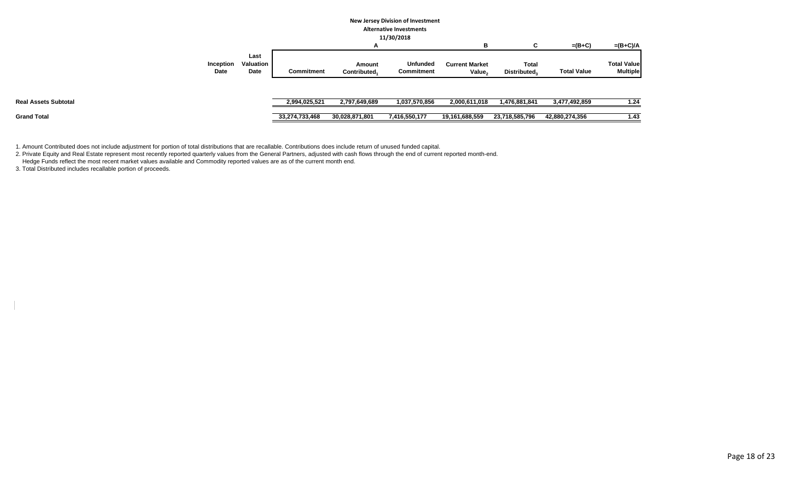## **New Jersey Division of Investment**

**Alternative Investments 11/30/2018**

| в                                                                                                                                                                                                                               | $=(B+C)$           | $=(B+C)/A$                            |
|---------------------------------------------------------------------------------------------------------------------------------------------------------------------------------------------------------------------------------|--------------------|---------------------------------------|
|                                                                                                                                                                                                                                 |                    |                                       |
| Last<br><b>Valuation</b><br>Unfunded<br>Inception<br><b>Current Market</b><br><b>Total</b><br>Amount<br>Date<br><b>Commitment</b><br>Date<br>Commitment<br>Contributed <sub>1</sub><br>Value <sub>2</sub><br><b>Distributed</b> | <b>Total Value</b> | <b>Total Value</b><br><b>Multiple</b> |
|                                                                                                                                                                                                                                 |                    |                                       |
| <b>Real Assets Subtotal</b><br>2,994,025,521<br>2,797,649,689<br>1,037,570,856<br>2,000,611,018<br>1,476,881,841                                                                                                                | 3,477,492,859      | 1.24                                  |
| <b>Grand Total</b><br>7,416,550,177<br>33,274,733,468<br>19,161,688,559<br>23,718,585,796<br>30,028,871,801                                                                                                                     | 42,880,274,356     | 1.43                                  |

1. Amount Contributed does not include adjustment for portion of total distributions that are recallable. Contributions does include return of unused funded capital.

2. Private Equity and Real Estate represent most recently reported quarterly values from the General Partners, adjusted with cash flows through the end of current reported month-end.

Hedge Funds reflect the most recent market values available and Commodity reported values are as of the current month end.

3. Total Distributed includes recallable portion of proceeds.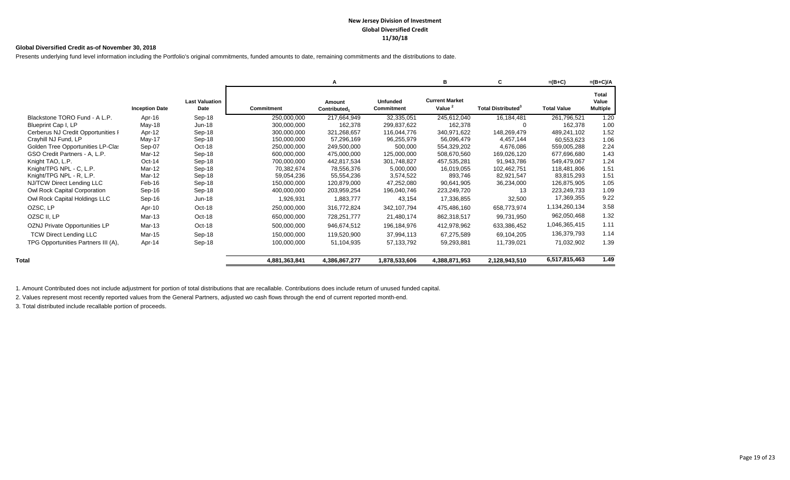#### **New Jersey Division of Investment Global Diversified Credit 11/30/18**

#### **Global Diversified Credit as-of November 30, 2018**

Presents underlying fund level information including the Portfolio's original commitments, funded amounts to date, remaining commitments and the distributions to date.

|                                     |                       |                               |                   | А                      |                                      | в                                           | C                                     | $=(B+C)$           | $=(B+C)/A$                        |
|-------------------------------------|-----------------------|-------------------------------|-------------------|------------------------|--------------------------------------|---------------------------------------------|---------------------------------------|--------------------|-----------------------------------|
|                                     | <b>Inception Date</b> | <b>Last Valuation</b><br>Date | <b>Commitment</b> | Amount<br>Contributed. | <b>Unfunded</b><br><b>Commitment</b> | <b>Current Market</b><br>Value <sup>2</sup> | <b>Total Distributed</b> <sup>3</sup> | <b>Total Value</b> | Total<br>Value<br><b>Multiple</b> |
| Blackstone TORO Fund - A L.P.       | Apr-16                | Sep-18                        | 250,000,000       | 217,664,949            | 32,335,051                           | 245,612,040                                 | 16,184,481                            | 261,796,521        | 1.20                              |
| Blueprint Cap I, LP                 | May-18                | Jun-18                        | 300,000,000       | 162,378                | 299,837,622                          | 162,378                                     | $\Omega$                              | 162,378            | 1.00                              |
| Cerberus NJ Credit Opportunities I  | Apr-12                | Sep-18                        | 300,000,000       | 321,268,657            | 116,044,776                          | 340,971,622                                 | 148,269,479                           | 489,241,102        | 1.52                              |
| Crayhill NJ Fund, LP                | May-17                | Sep-18                        | 150,000,000       | 57,296,169             | 96,255,979                           | 56,096,479                                  | 4,457,144                             | 60,553,623         | 1.06                              |
| Golden Tree Opportunities LP-Clas   | Sep-07                | Oct-18                        | 250,000,000       | 249,500,000            | 500,000                              | 554,329,202                                 | 4,676,086                             | 559,005,288        | 2.24                              |
| GSO Credit Partners - A, L.P.       | Mar-12                | Sep-18                        | 600,000,000       | 475,000,000            | 125,000,000                          | 508,670,560                                 | 169,026,120                           | 677,696,680        | 1.43                              |
| Knight TAO, L.P.                    | Oct-14                | Sep-18                        | 700,000,000       | 442,817,534            | 301,748,827                          | 457,535,281                                 | 91,943,786                            | 549,479,067        | 1.24                              |
| Knight/TPG NPL - C. L.P.            | Mar-12                | Sep-18                        | 70,382,674        | 78,556,376             | 5,000,000                            | 16,019,055                                  | 102,462,751                           | 118,481,806        | 1.51                              |
| Knight/TPG NPL - R, L.P.            | Mar-12                | Sep-18                        | 59,054,236        | 55,554,236             | 3,574,522                            | 893,746                                     | 82,921,547                            | 83,815,293         | 1.51                              |
| NJ/TCW Direct Lending LLC           | Feb-16                | Sep-18                        | 150,000,000       | 120,879,000            | 47,252,080                           | 90,641,905                                  | 36,234,000                            | 126,875,905        | 1.05                              |
| Owl Rock Capital Corporation        | Sep-16                | Sep-18                        | 400,000,000       | 203,959,254            | 196,040,746                          | 223,249,720                                 | 13                                    | 223,249,733        | 1.09                              |
| Owl Rock Capital Holdings LLC       | Sep-16                | Jun-18                        | 1,926,931         | 1,883,777              | 43,154                               | 17,336,855                                  | 32,500                                | 17,369,355         | 9.22                              |
| OZSC, LP                            | Apr-10                | Oct-18                        | 250,000,000       | 316,772,824            | 342,107,794                          | 475,486,160                                 | 658,773,974                           | 1,134,260,134      | 3.58                              |
| OZSC II, LP                         | Mar-13                | Oct-18                        | 650,000,000       | 728,251,777            | 21,480,174                           | 862,318,517                                 | 99,731,950                            | 962,050,468        | 1.32                              |
| OZNJ Private Opportunities LP       | Mar-13                | Oct-18                        | 500,000,000       | 946,674,512            | 196,184,976                          | 412,978,962                                 | 633,386,452                           | 1,046,365,415      | 1.11                              |
| <b>TCW Direct Lending LLC</b>       | Mar-15                | Sep-18                        | 150,000,000       | 119,520,900            | 37,994,113                           | 67,275,589                                  | 69,104,205                            | 136,379,793        | 1.14                              |
| TPG Opportunities Partners III (A), | Apr-14                | Sep-18                        | 100,000,000       | 51,104,935             | 57, 133, 792                         | 59,293,881                                  | 11,739,021                            | 71,032,902         | 1.39                              |
| Total                               |                       |                               | 4,881,363,841     | 4,386,867,277          | 1,878,533,606                        | 4,388,871,953                               | 2,128,943,510                         | 6,517,815,463      | 1.49                              |

1. Amount Contributed does not include adjustment for portion of total distributions that are recallable. Contributions does include return of unused funded capital.

2. Values represent most recently reported values from the General Partners, adjusted wo cash flows through the end of current reported month-end.

3. Total distributed include recallable portion of proceeds.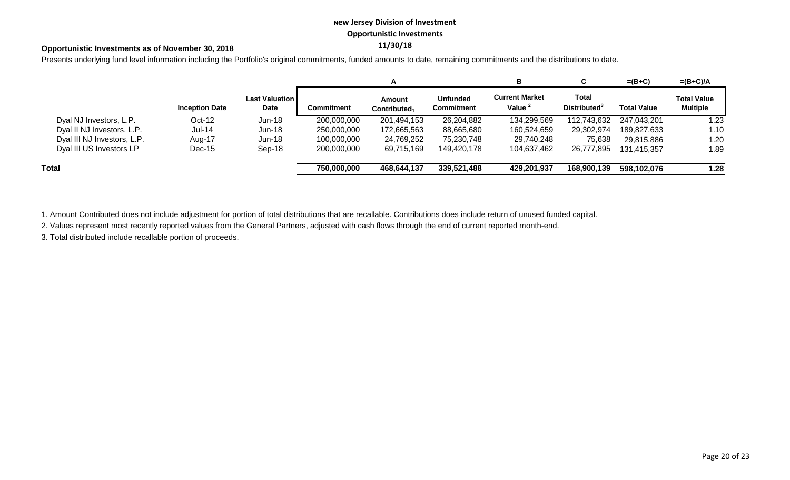## **New Jersey Division of Investment Opportunistic Investments**

## **11/30/18 Opportunistic Investments as of November 30, 2018**

Presents underlying fund level information including the Portfolio's original commitments, funded amounts to date, remaining commitments and the distributions to date.

|                             |                       |                                        |                   | A                          |                                      | в                                           | ັ                                        | $=(B+C)$           | $=(B+C)/A$                            |
|-----------------------------|-----------------------|----------------------------------------|-------------------|----------------------------|--------------------------------------|---------------------------------------------|------------------------------------------|--------------------|---------------------------------------|
|                             | <b>Inception Date</b> | <b>Last Valuation I</b><br><b>Date</b> | <b>Commitment</b> | Amount<br>Contributed $_1$ | <b>Unfunded</b><br><b>Commitment</b> | <b>Current Market</b><br>Value <sup>2</sup> | Total<br><b>Distributed</b> <sup>3</sup> | <b>Total Value</b> | <b>Total Value</b><br><b>Multiple</b> |
| Dyal NJ Investors, L.P.     | $Oct-12$              | <b>Jun-18</b>                          | 200,000,000       | 201,494,153                | 26,204,882                           | 134,299,569                                 | 112,743,632                              | 247,043,201        | 1.23                                  |
| Dyal II NJ Investors, L.P.  | <b>Jul-14</b>         | $Jun-18$                               | 250,000,000       | 172,665,563                | 88,665,680                           | 160,524,659                                 | 29,302,974                               | 189,827,633        | 1.10                                  |
| Dyal III NJ Investors, L.P. | Aug-17                | $Jun-18$                               | 100,000,000       | 24,769,252                 | 75,230,748                           | 29,740,248                                  | 75,638                                   | 29,815,886         | 1.20                                  |
| Dyal III US Investors LP    | $Dec-15$              | Sep-18                                 | 200,000,000       | 69,715,169                 | 149,420,178                          | 104,637,462                                 | 26,777,895                               | 131.415.357        | 1.89                                  |
| Total                       |                       |                                        | 750,000,000       | 468,644,137                | 339,521,488                          | 429,201,937                                 | 168,900,139                              | 598,102,076        | 1.28                                  |

1. Amount Contributed does not include adjustment for portion of total distributions that are recallable. Contributions does include return of unused funded capital.

2. Values represent most recently reported values from the General Partners, adjusted with cash flows through the end of current reported month-end.

3. Total distributed include recallable portion of proceeds.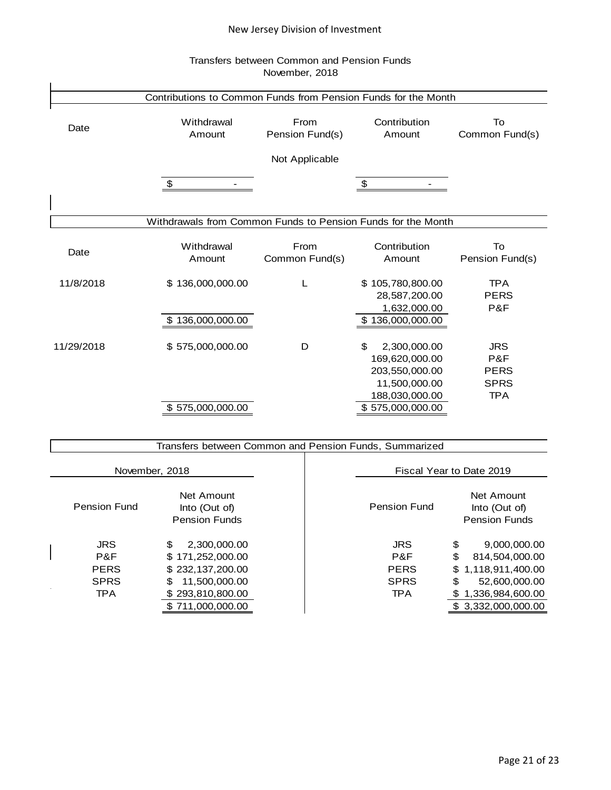## New Jersey Division of Investment

## Transfers between Common and Pension Funds November, 2018

|            | Contributions to Common Funds from Pension Funds for the Month |                 |                    |                 |
|------------|----------------------------------------------------------------|-----------------|--------------------|-----------------|
|            |                                                                |                 |                    |                 |
| Date       | Withdrawal                                                     | From            | Contribution       | To              |
|            | Amount                                                         | Pension Fund(s) | Amount             | Common Fund(s)  |
|            |                                                                | Not Applicable  |                    |                 |
|            | \$                                                             |                 | \$                 |                 |
|            |                                                                |                 |                    |                 |
|            | Withdrawals from Common Funds to Pension Funds for the Month   |                 |                    |                 |
|            | Withdrawal                                                     | From            | Contribution       | To              |
| Date       | Amount                                                         | Common Fund(s)  | Amount             | Pension Fund(s) |
| 11/8/2018  | \$136,000,000.00                                               | L               | \$105,780,800.00   | <b>TPA</b>      |
|            |                                                                |                 | 28,587,200.00      | <b>PERS</b>     |
|            |                                                                |                 | 1,632,000.00       | P&F             |
|            | 136,000,000.00<br>S                                            |                 | \$136,000,000.00   |                 |
| 11/29/2018 | \$575,000,000.00                                               | D               | 2,300,000.00<br>\$ | <b>JRS</b>      |
|            |                                                                |                 | 169,620,000.00     | P&F             |
|            |                                                                |                 | 203,550,000.00     | <b>PERS</b>     |
|            |                                                                |                 | 11,500,000.00      | <b>SPRS</b>     |
|            |                                                                |                 | 188,030,000.00     | <b>TPA</b>      |
|            | \$575,000,000.00                                               |                 | \$575,000,000.00   |                 |
|            |                                                                |                 |                    |                 |
|            | Transfers between Common and Pension Funds, Summarized         |                 |                    |                 |

| November, 2018 |                     |                                                     |                     | Fiscal Year to Date 2019                            |
|----------------|---------------------|-----------------------------------------------------|---------------------|-----------------------------------------------------|
|                | <b>Pension Fund</b> | Net Amount<br>Into (Out of)<br><b>Pension Funds</b> | <b>Pension Fund</b> | Net Amount<br>Into (Out of)<br><b>Pension Funds</b> |
|                | <b>JRS</b>          | 2,300,000.00<br>\$                                  | <b>JRS</b>          | \$<br>9,000,000.00                                  |
|                | P&F                 | \$171,252,000.00                                    | P&F                 | \$<br>814,504,000.00                                |
|                | <b>PERS</b>         | \$232,137,200.00                                    | <b>PERS</b>         | \$1,118,911,400.00                                  |
|                | <b>SPRS</b>         | 11,500,000.00<br>S                                  | <b>SPRS</b>         | \$<br>52,600,000.00                                 |
|                | <b>TPA</b>          | \$293,810,800.00                                    | <b>TPA</b>          | 1,336,984,600.00                                    |
|                |                     | \$711,000,000.00                                    |                     | 3,332,000,000.00                                    |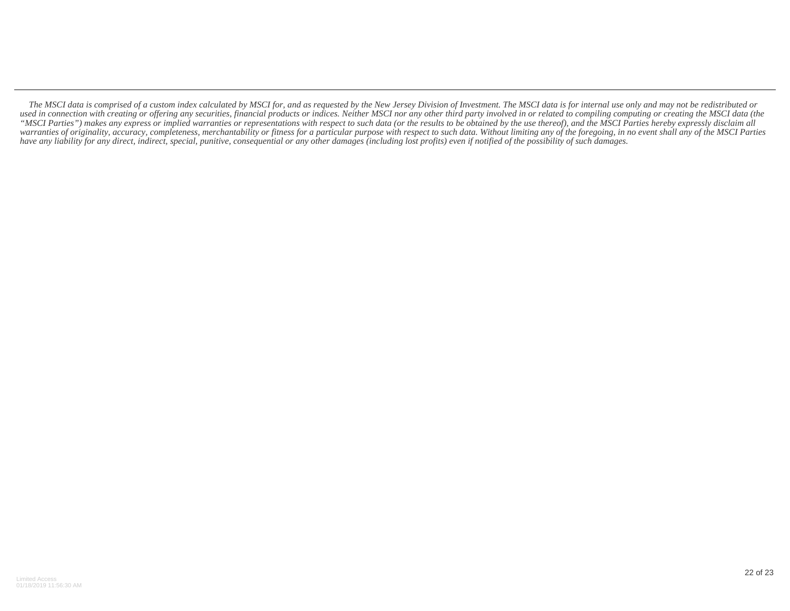*The MSCI data is comprised of a custom index calculated by MSCI for, and as requested by the New Jersey Division of Investment. The MSCI data is for internal use only and may not be redistributed or* used in connection with creating or offering any securities, financial products or indices. Neither MSCI nor any other third party involved in or related to compiling computing or creating the MSCI data (the *"MSCI Parties") makes any express or implied warranties or representations with respect to such data (or the results to be obtained by the use thereof), and the MSCI Parties hereby expressly disclaim all warranties of originality, accuracy, completeness, merchantability or fitness for a particular purpose with respect to such data. Without limiting any of the foregoing, in no event shall any of the MSCI Parties have any liability for any direct, indirect, special, punitive, consequential or any other damages (including lost profits) even if notified of the possibility of such damages.*